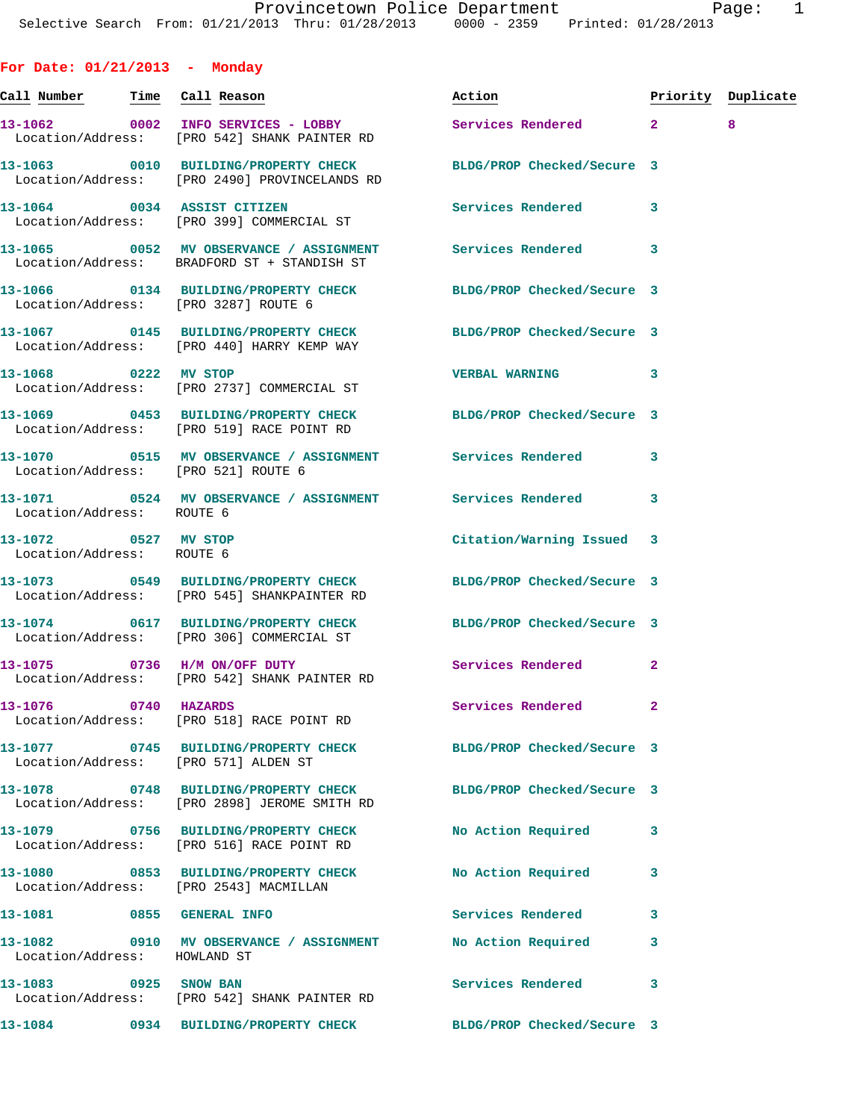| For Date: $01/21/2013$ - Monday                   |                                                                                                                 |                            |              |                    |
|---------------------------------------------------|-----------------------------------------------------------------------------------------------------------------|----------------------------|--------------|--------------------|
| Call Number Time Call Reason                      |                                                                                                                 | Action                     |              | Priority Duplicate |
|                                                   | 13-1062 0002 INFO SERVICES - LOBBY<br>Location/Address: [PRO 542] SHANK PAINTER RD                              | Services Rendered 2        |              | 8                  |
|                                                   | 13-1063 0010 BUILDING/PROPERTY CHECK<br>Location/Address: [PRO 2490] PROVINCELANDS RD                           | BLDG/PROP Checked/Secure 3 |              |                    |
| 13-1064 0034 ASSIST CITIZEN                       | Location/Address: [PRO 399] COMMERCIAL ST                                                                       | Services Rendered 3        |              |                    |
|                                                   | 13-1065 0052 MV OBSERVANCE / ASSIGNMENT Services Rendered<br>Location/Address: BRADFORD ST + STANDISH ST        |                            | 3            |                    |
|                                                   | 13-1066 0134 BUILDING/PROPERTY CHECK BLDG/PROP Checked/Secure 3<br>Location/Address: [PRO 3287] ROUTE 6         |                            |              |                    |
|                                                   | 13-1067  0145 BUILDING/PROPERTY CHECK BLDG/PROP Checked/Secure 3<br>Location/Address: [PRO 440] HARRY KEMP WAY  |                            |              |                    |
| 13-1068 0222 MV STOP                              | Location/Address: [PRO 2737] COMMERCIAL ST                                                                      | <b>VERBAL WARNING</b>      | 3            |                    |
|                                                   | 13-1069 0453 BUILDING/PROPERTY CHECK BLDG/PROP Checked/Secure 3<br>Location/Address: [PRO 519] RACE POINT RD    |                            |              |                    |
|                                                   | 13-1070 0515 MV OBSERVANCE / ASSIGNMENT Services Rendered<br>Location/Address: [PRO 521] ROUTE 6                |                            | 3            |                    |
| Location/Address: ROUTE 6                         | 13-1071 0524 MV OBSERVANCE / ASSIGNMENT Services Rendered 3                                                     |                            |              |                    |
| 13-1072 0527 MV STOP<br>Location/Address: ROUTE 6 |                                                                                                                 | Citation/Warning Issued 3  |              |                    |
|                                                   | 13-1073 0549 BUILDING/PROPERTY CHECK<br>Location/Address: [PRO 545] SHANKPAINTER RD                             | BLDG/PROP Checked/Secure 3 |              |                    |
|                                                   | 13-1074 0617 BUILDING/PROPERTY CHECK BLDG/PROP Checked/Secure 3<br>Location/Address: [PRO 306] COMMERCIAL ST    |                            |              |                    |
| 13-1075 0736 H/M ON/OFF DUTY                      | Location/Address: [PRO 542] SHANK PAINTER RD                                                                    | Services Rendered 2        |              |                    |
| 13-1076 0740 HAZARDS                              | Location/Address: [PRO 518] RACE POINT RD                                                                       | Services Rendered          | $\mathbf{2}$ |                    |
|                                                   | 13-1077 0745 BUILDING/PROPERTY CHECK BLDG/PROP Checked/Secure 3<br>Location/Address: [PRO 571] ALDEN ST         |                            |              |                    |
|                                                   | 13-1078 0748 BUILDING/PROPERTY CHECK BLDG/PROP Checked/Secure 3<br>Location/Address: [PRO 2898] JEROME SMITH RD |                            |              |                    |
|                                                   | 13-1079 0756 BUILDING/PROPERTY CHECK<br>Location/Address: [PRO 516] RACE POINT RD                               | No Action Required         | 3            |                    |
|                                                   | 13-1080 0853 BUILDING/PROPERTY CHECK<br>Location/Address: [PRO 2543] MACMILLAN                                  | No Action Required         | 3            |                    |
| 13-1081 0855 GENERAL INFO                         |                                                                                                                 | Services Rendered 3        |              |                    |
| Location/Address: HOWLAND ST                      | 13-1082 0910 MV OBSERVANCE / ASSIGNMENT No Action Required                                                      |                            | 3            |                    |
| 13-1083 0925 SNOW BAN                             | Location/Address: [PRO 542] SHANK PAINTER RD                                                                    | Services Rendered          | 3            |                    |
|                                                   | 13-1084 0934 BUILDING/PROPERTY CHECK BLDG/PROP Checked/Secure 3                                                 |                            |              |                    |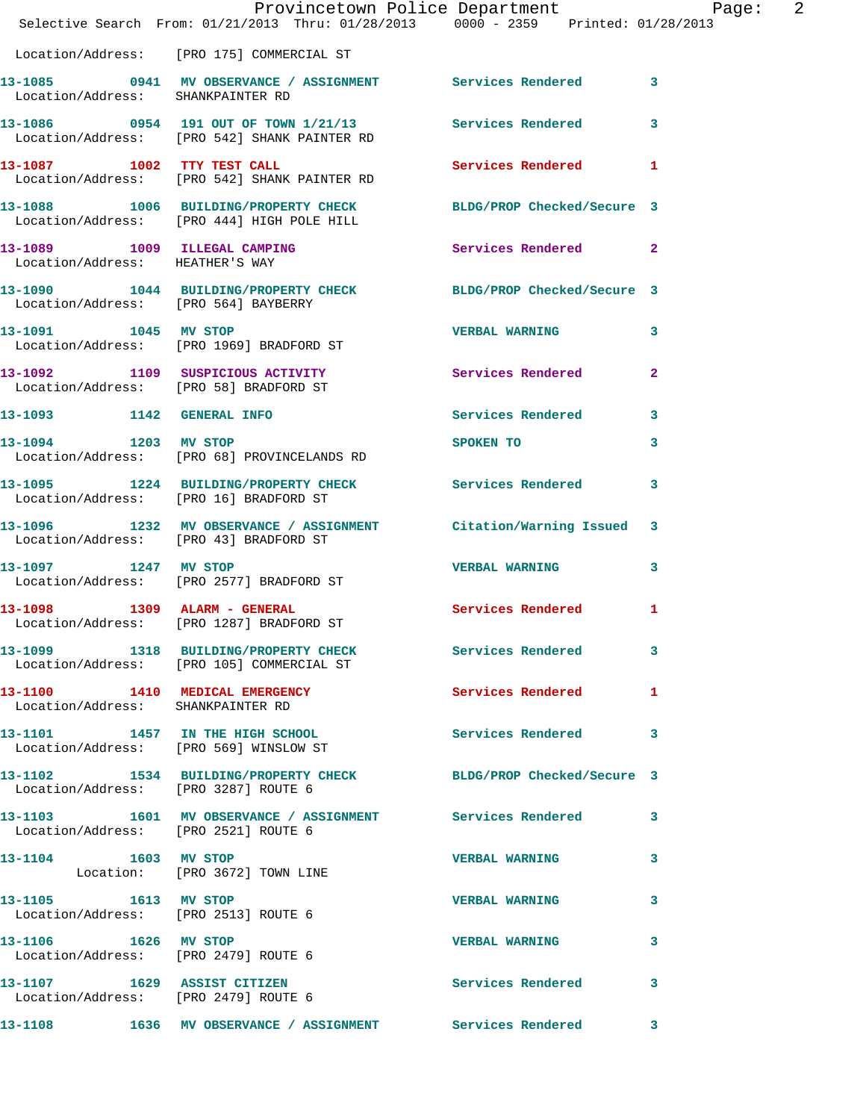|                                      | Provincetown Police Department Page: 2<br>Selective Search From: $01/21/2013$ Thru: $01/28/2013$ 0000 - 2359 Printed: 01/28/2013 |                       |              |
|--------------------------------------|----------------------------------------------------------------------------------------------------------------------------------|-----------------------|--------------|
|                                      | Location/Address: [PRO 175] COMMERCIAL ST                                                                                        |                       |              |
| Location/Address: SHANKPAINTER RD    | 13-1085 0941 MV OBSERVANCE / ASSIGNMENT Services Rendered 3                                                                      |                       |              |
|                                      | 13-1086 0954 191 OUT OF TOWN 1/21/13 Services Rendered 3<br>Location/Address: [PRO 542] SHANK PAINTER RD                         |                       |              |
|                                      | 13-1087 1002 TTY TEST CALL 2008 Services Rendered 1<br>Location/Address: [PRO 542] SHANK PAINTER RD                              |                       |              |
|                                      | 13-1088 1006 BUILDING/PROPERTY CHECK BLDG/PROP Checked/Secure 3<br>Location/Address: [PRO 444] HIGH POLE HILL                    |                       |              |
| Location/Address: HEATHER'S WAY      | 13-1089 1009 ILLEGAL CAMPING 1999 Services Rendered 2                                                                            |                       |              |
|                                      | 13-1090   1044   BUILDING/PROPERTY CHECK   BLDG/PROP Checked/Secure   3<br>Location/Address: [PRO 564] BAYBERRY                  |                       |              |
|                                      | 13-1091 1045 MV STOP<br>Location/Address: [PRO 1969] BRADFORD ST                                                                 | VERBAL WARNING 3      |              |
|                                      | 13-1092 1109 SUSPICIOUS ACTIVITY<br>Location/Address: [PRO 58] BRADFORD ST                                                       | Services Rendered 2   |              |
|                                      | 13-1093 1142 GENERAL INFO                                                                                                        | Services Rendered 3   |              |
|                                      | 13-1094 1203 MV STOP<br>Location/Address: [PRO 68] PROVINCELANDS RD                                                              | SPOKEN TO             | 3            |
|                                      | 13-1095 1224 BUILDING/PROPERTY CHECK Services Rendered 3<br>Location/Address: [PRO 16] BRADFORD ST                               |                       |              |
|                                      | 13-1096 1232 MV OBSERVANCE / ASSIGNMENT Citation/Warning Issued 3<br>Location/Address: [PRO 43] BRADFORD ST                      |                       |              |
| 13-1097 1247 MV STOP                 | Location/Address: [PRO 2577] BRADFORD ST                                                                                         | VERBAL WARNING 3      |              |
|                                      | 13-1098 1309 ALARM - GENERAL<br>Location/Address: [PRO 1287] BRADFORD ST                                                         | Services Rendered 1   |              |
|                                      | 13-1099 1318 BUILDING/PROPERTY CHECK Services Rendered 3<br>Location/Address: [PRO 105] COMMERCIAL ST                            |                       |              |
| Location/Address: SHANKPAINTER RD    | 13-1100 1410 MEDICAL EMERGENCY Services Rendered 1                                                                               |                       |              |
|                                      | 13-1101 1457 IN THE HIGH SCHOOL Services Rendered 3<br>Location/Address: [PRO 569] WINSLOW ST                                    |                       |              |
| Location/Address: [PRO 3287] ROUTE 6 | 13-1102 1534 BUILDING/PROPERTY CHECK BLDG/PROP Checked/Secure 3                                                                  |                       |              |
| Location/Address: [PRO 2521] ROUTE 6 | 13-1103 1601 MV OBSERVANCE / ASSIGNMENT Services Rendered 3                                                                      |                       |              |
| 13-1104 1603 MV STOP                 | Location: [PRO 3672] TOWN LINE                                                                                                   | <b>VERBAL WARNING</b> | $\mathbf{3}$ |
| 13-1105 1613 MV STOP                 | Location/Address: [PRO 2513] ROUTE 6                                                                                             | <b>VERBAL WARNING</b> | 3            |
| 13-1106 1626 MV STOP                 | Location/Address: [PRO 2479] ROUTE 6                                                                                             | VERBAL WARNING 3      |              |
| Location/Address: [PRO 2479] ROUTE 6 | 13-1107 1629 ASSIST CITIZEN                                                                                                      | Services Rendered 3   |              |
|                                      | 13-1108 1636 MV OBSERVANCE / ASSIGNMENT Services Rendered 3                                                                      |                       |              |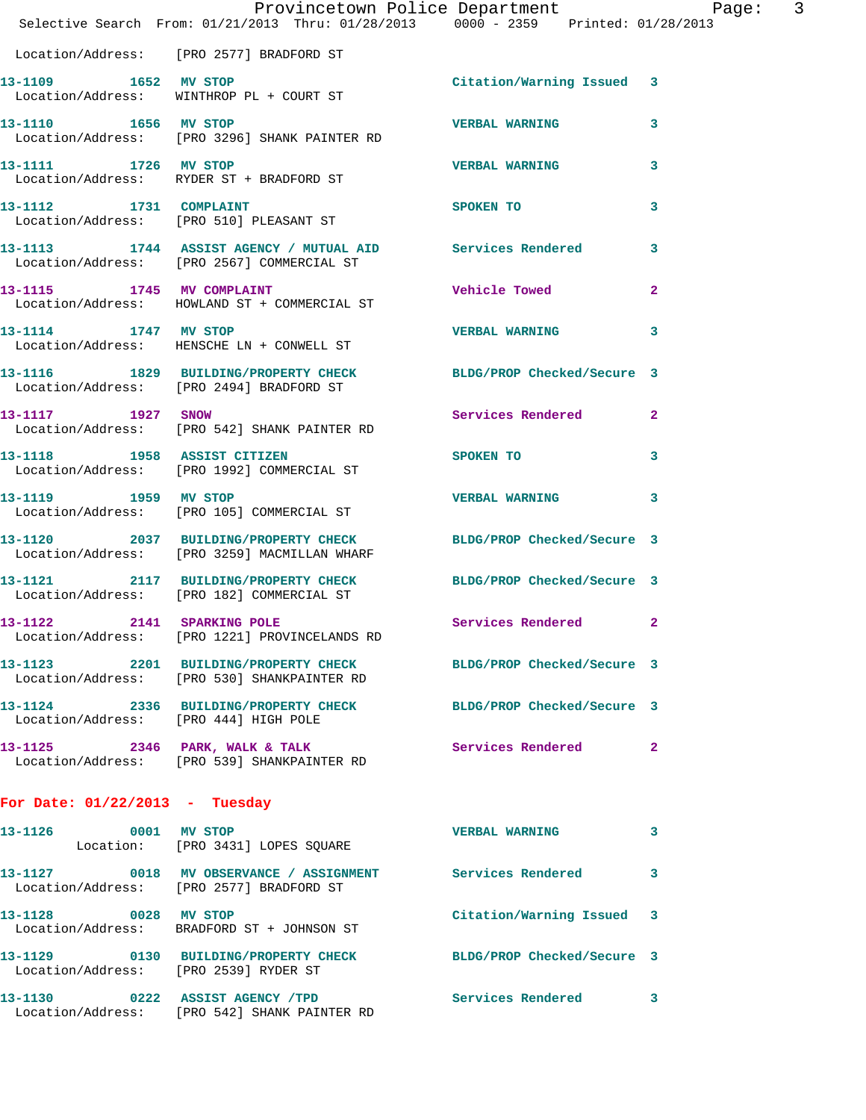|                                  | Provincetown Police Department Page: 3<br>Selective Search From: $01/21/2013$ Thru: $01/28/2013$ 0000 - 2359 Printed: 01/28/2013 |                            |              |
|----------------------------------|----------------------------------------------------------------------------------------------------------------------------------|----------------------------|--------------|
|                                  | Location/Address: [PRO 2577] BRADFORD ST                                                                                         |                            |              |
| 13-1109 1652 MV STOP             | Location/Address: WINTHROP PL + COURT ST                                                                                         | Citation/Warning Issued 3  |              |
| 13-1110 1656 MV STOP             | Location/Address: [PRO 3296] SHANK PAINTER RD                                                                                    | <b>VERBAL WARNING</b>      | $\mathbf{3}$ |
| 13-1111 1726 MV STOP             | Location/Address: RYDER ST + BRADFORD ST                                                                                         | <b>VERBAL WARNING</b>      | 3            |
|                                  | 13-1112 1731 COMPLAINT<br>Location/Address: [PRO 510] PLEASANT ST                                                                | SPOKEN TO                  | 3            |
|                                  | 13-1113 1744 ASSIST AGENCY / MUTUAL AID Services Rendered 3<br>Location/Address: [PRO 2567] COMMERCIAL ST                        |                            |              |
|                                  | 13-1115 1745 MV COMPLAINT<br>Location/Address: HOWLAND ST + COMMERCIAL ST                                                        | <b>Vehicle Towed State</b> | $\mathbf{2}$ |
| 13-1114 1747 MV STOP             | Location/Address: HENSCHE LN + CONWELL ST                                                                                        | <b>VERBAL WARNING</b>      | 3            |
|                                  | 13-1116 1829 BUILDING/PROPERTY CHECK<br>Location/Address: [PRO 2494] BRADFORD ST                                                 | BLDG/PROP Checked/Secure 3 |              |
| 13-1117 1927 SNOW                | Location/Address: [PRO 542] SHANK PAINTER RD                                                                                     | Services Rendered 2        |              |
|                                  | 13-1118 1958 ASSIST CITIZEN<br>Location/Address: [PRO 1992] COMMERCIAL ST                                                        | SPOKEN TO                  | $\mathbf{3}$ |
|                                  | 13-1119 1959 MV STOP<br>Location/Address: [PRO 105] COMMERCIAL ST                                                                | <b>VERBAL WARNING</b>      | 3            |
|                                  | 13-1120 2037 BUILDING/PROPERTY CHECK BLDG/PROP Checked/Secure 3<br>Location/Address: [PRO 3259] MACMILLAN WHARF                  |                            |              |
|                                  | 13-1121 2117 BUILDING/PROPERTY CHECK BLDG/PROP Checked/Secure 3<br>Location/Address: [PRO 182] COMMERCIAL ST                     |                            |              |
| 13-1122                          | 2141 SPARKING POLE<br>Location/Address: [PRO 1221] PROVINCELANDS RD                                                              | Services Rendered 2        |              |
|                                  | 13-1123 2201 BUILDING/PROPERTY CHECK BLDG/PROP Checked/Secure 3<br>Location/Address: [PRO 530] SHANKPAINTER RD                   |                            |              |
|                                  | 13-1124 2336 BUILDING/PROPERTY CHECK BLDG/PROP Checked/Secure 3<br>Location/Address: [PRO 444] HIGH POLE                         |                            |              |
|                                  | 13-1125 2346 PARK, WALK & TALK<br>Location/Address: [PRO 539] SHANKPAINTER RD                                                    | Services Rendered 2        |              |
| For Date: $01/22/2013$ - Tuesday |                                                                                                                                  |                            |              |
|                                  | 13-1126 0001 MV STOP<br>Location: [PRO 3431] LOPES SQUARE                                                                        | <b>VERBAL WARNING</b>      | 3            |
|                                  | 13-1127 0018 MV OBSERVANCE / ASSIGNMENT Services Rendered 3<br>Location/Address: [PRO 2577] BRADFORD ST                          |                            |              |
| 13-1128 0028 MV STOP             | Location/Address: BRADFORD ST + JOHNSON ST                                                                                       | Citation/Warning Issued 3  |              |
|                                  | 13-1129 0130 BUILDING/PROPERTY CHECK BLDG/PROP Checked/Secure 3<br>Location/Address: [PRO 2539] RYDER ST                         |                            |              |
|                                  | 13-1130 0222 ASSIST AGENCY / TPD Services Rendered 3<br>Location/Address: [PRO 542] SHANK PAINTER RD                             |                            |              |
|                                  |                                                                                                                                  |                            |              |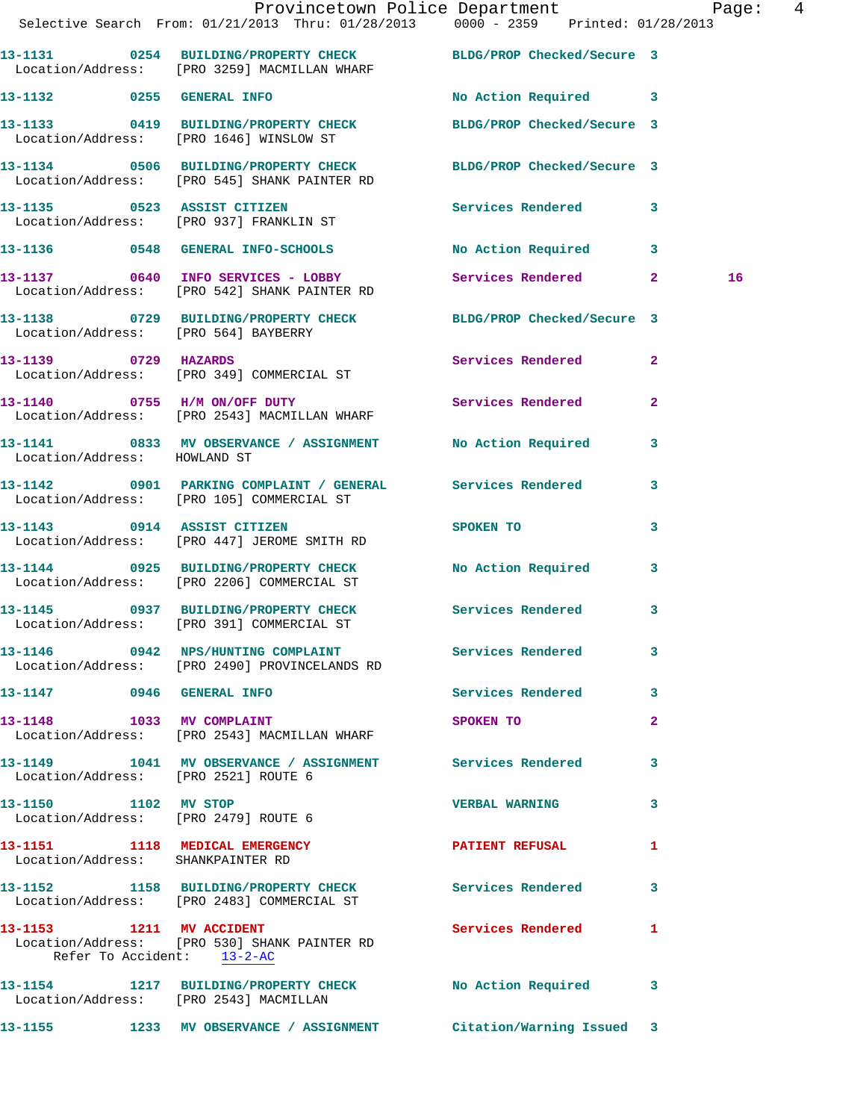|                                      | Provincetown Police Department Page: 4<br>Selective Search From: 01/21/2013 Thru: 01/28/2013 0000 - 2359 Printed: 01/28/2013 |                            |                |  |
|--------------------------------------|------------------------------------------------------------------------------------------------------------------------------|----------------------------|----------------|--|
|                                      | 13-1131 0254 BUILDING/PROPERTY CHECK BLDG/PROP Checked/Secure 3                                                              |                            |                |  |
|                                      | Location/Address: [PRO 3259] MACMILLAN WHARF                                                                                 |                            |                |  |
|                                      | 13-1132 0255 GENERAL INFO                                                                                                    | No Action Required 3       |                |  |
|                                      | 13-1133 0419 BUILDING/PROPERTY CHECK<br>Location/Address: [PRO 1646] WINSLOW ST                                              | BLDG/PROP Checked/Secure 3 |                |  |
|                                      | 13-1134 0506 BUILDING/PROPERTY CHECK BLDG/PROP Checked/Secure 3<br>Location/Address: [PRO 545] SHANK PAINTER RD              |                            |                |  |
|                                      | 13-1135 0523 ASSIST CITIZEN<br>Location/Address: [PRO 937] FRANKLIN ST                                                       | Services Rendered 3        |                |  |
|                                      | 13-1136 0548 GENERAL INFO-SCHOOLS No Action Required 3                                                                       |                            |                |  |
|                                      | 13-1137 0640 INFO SERVICES - LOBBY<br>Location/Address: [PRO 542] SHANK PAINTER RD                                           | Services Rendered 2        | 16             |  |
| Location/Address: [PRO 564] BAYBERRY | 13-1138 0729 BUILDING/PROPERTY CHECK BLDG/PROP Checked/Secure 3                                                              |                            |                |  |
|                                      | 13-1139 0729 HAZARDS<br>Location/Address: [PRO 349] COMMERCIAL ST                                                            | Services Rendered 2        |                |  |
|                                      | 13-1140 0755 H/M ON/OFF DUTY<br>Location/Address: [PRO 2543] MACMILLAN WHARF                                                 | Services Rendered          | $\overline{2}$ |  |
| Location/Address: HOWLAND ST         | 13-1141 0833 MV OBSERVANCE / ASSIGNMENT No Action Required 3                                                                 |                            |                |  |
|                                      | 13-1142 0901 PARKING COMPLAINT / GENERAL Services Rendered<br>Location/Address: [PRO 105] COMMERCIAL ST                      |                            | 3              |  |
|                                      | 13-1143 0914 ASSIST CITIZEN<br>Location/Address: [PRO 447] JEROME SMITH RD                                                   | SPOKEN TO                  | 3              |  |
|                                      | 13-1144 0925 BUILDING/PROPERTY CHECK<br>Location/Address: [PRO 2206] COMMERCIAL ST                                           | No Action Required 3       |                |  |
|                                      | 13-1145 0937 BUILDING/PROPERTY CHECK Services Rendered 3<br>Location/Address: [PRO 391] COMMERCIAL ST                        |                            |                |  |
|                                      | 13-1146 0942 NPS/HUNTING COMPLAINT Services Rendered 3<br>Location/Address: [PRO 2490] PROVINCELANDS RD                      |                            |                |  |
| 13-1147 0946 GENERAL INFO            |                                                                                                                              | Services Rendered 3        |                |  |
| 13-1148 1033 MV COMPLAINT            | Location/Address: [PRO 2543] MACMILLAN WHARF                                                                                 | SPOKEN TO                  | $\mathbf{2}$   |  |
| Location/Address: [PRO 2521] ROUTE 6 | 13-1149 1041 MV OBSERVANCE / ASSIGNMENT Services Rendered                                                                    |                            | 3              |  |
| 13-1150 1102 MV STOP                 | Location/Address: [PRO 2479] ROUTE 6                                                                                         | VERBAL WARNING 3           |                |  |
| Location/Address: SHANKPAINTER RD    | 13-1151 1118 MEDICAL EMERGENCY                                                                                               | PATIENT REFUSAL            | 1              |  |
|                                      | 13-1152 1158 BUILDING/PROPERTY CHECK Services Rendered 3<br>Location/Address: [PRO 2483] COMMERCIAL ST                       |                            |                |  |
| Refer To Accident: 13-2-AC           | 13-1153 1211 MV ACCIDENT<br>Location/Address: [PRO 530] SHANK PAINTER RD                                                     | <b>Services Rendered</b>   | $\mathbf{1}$   |  |
|                                      | 13-1154 1217 BUILDING/PROPERTY CHECK No Action Required 3<br>Location/Address: [PRO 2543] MACMILLAN                          |                            |                |  |
|                                      | 13-1155 1233 MV OBSERVANCE / ASSIGNMENT Citation/Warning Issued 3                                                            |                            |                |  |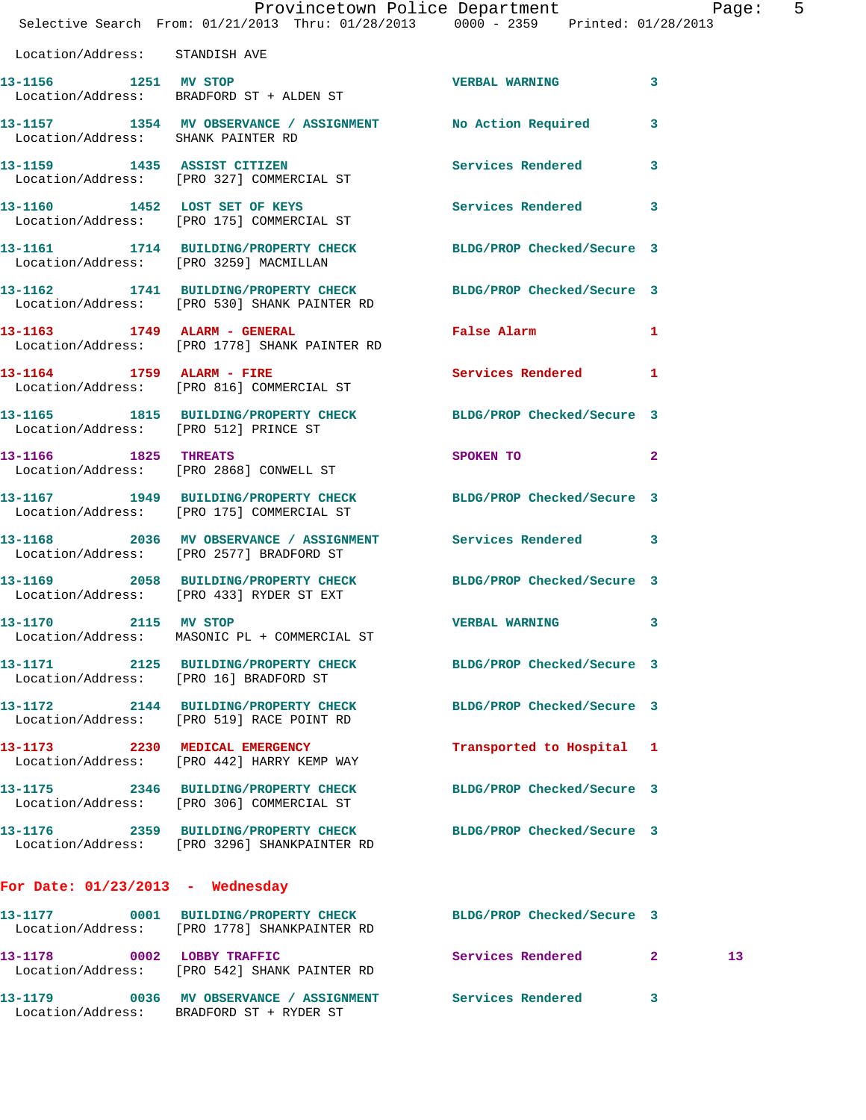|                                       | Provincetown Police Department Page:<br>Selective Search From: 01/21/2013 Thru: 01/28/2013  0000 - 2359  Printed: 01/28/2013 |                             | 5               |
|---------------------------------------|------------------------------------------------------------------------------------------------------------------------------|-----------------------------|-----------------|
| Location/Address: STANDISH AVE        |                                                                                                                              |                             |                 |
| 13-1156 1251 MV STOP                  | Location/Address: BRADFORD ST + ALDEN ST                                                                                     | <b>VERBAL WARNING 3</b>     |                 |
| Location/Address: SHANK PAINTER RD    | 13-1157 1354 MV OBSERVANCE / ASSIGNMENT No Action Required 3                                                                 |                             |                 |
|                                       | 13-1159 1435 ASSIST CITIZEN<br>Location/Address: [PRO 327] COMMERCIAL ST                                                     | Services Rendered 3         |                 |
|                                       | 13-1160 1452 LOST SET OF KEYS<br>Location/Address: [PRO 175] COMMERCIAL ST                                                   | Services Rendered 3         |                 |
|                                       | 13-1161 1714 BUILDING/PROPERTY CHECK BLDG/PROP Checked/Secure 3<br>Location/Address: [PRO 3259] MACMILLAN                    |                             |                 |
|                                       | 13-1162 1741 BUILDING/PROPERTY CHECK BLDG/PROP Checked/Secure 3<br>Location/Address: [PRO 530] SHANK PAINTER RD              |                             |                 |
|                                       | 13-1163 1749 ALARM - GENERAL<br>Location/Address: [PRO 1778] SHANK PAINTER RD                                                | False Alarm                 | $\mathbf{1}$    |
|                                       | 13-1164 1759 ALARM - FIRE<br>Location/Address: [PRO 816] COMMERCIAL ST                                                       | Services Rendered 1         |                 |
| Location/Address: [PRO 512] PRINCE ST | 13-1165 1815 BUILDING/PROPERTY CHECK BLDG/PROP Checked/Secure 3                                                              |                             |                 |
| 13-1166 1825 THREATS                  | Location/Address: [PRO 2868] CONWELL ST                                                                                      | SPOKEN TO AND THE SPOKEN TO | $\sim$ 2        |
|                                       | 13-1167 1949 BUILDING/PROPERTY CHECK BLDG/PROP Checked/Secure 3<br>Location/Address: [PRO 175] COMMERCIAL ST                 |                             |                 |
|                                       | 13-1168 2036 MV OBSERVANCE / ASSIGNMENT Services Rendered 3<br>Location/Address: [PRO 2577] BRADFORD ST                      |                             |                 |
|                                       | 13-1169 2058 BUILDING/PROPERTY CHECK BLDG/PROP Checked/Secure 3<br>Location/Address: [PRO 433] RYDER ST EXT                  |                             |                 |
| 2115 MV STOP<br>13-1170               | Location/Address: MASONIC PL + COMMERCIAL ST                                                                                 | <b>VERBAL WARNING</b>       | 3               |
|                                       | 13-1171 2125 BUILDING/PROPERTY CHECK BLDG/PROP Checked/Secure 3<br>Location/Address: [PRO 16] BRADFORD ST                    |                             |                 |
|                                       | 13-1172 2144 BUILDING/PROPERTY CHECK<br>Location/Address: [PRO 519] RACE POINT RD                                            | BLDG/PROP Checked/Secure 3  |                 |
|                                       | 13-1173 2230 MEDICAL EMERGENCY<br>Location/Address: [PRO 442] HARRY KEMP WAY                                                 | Transported to Hospital 1   |                 |
|                                       | 13-1175 2346 BUILDING/PROPERTY CHECK<br>Location/Address: [PRO 306] COMMERCIAL ST                                            | BLDG/PROP Checked/Secure 3  |                 |
|                                       | 13-1176 2359 BUILDING/PROPERTY CHECK<br>Location/Address: [PRO 3296] SHANKPAINTER RD                                         | BLDG/PROP Checked/Secure 3  |                 |
| For Date: $01/23/2013$ - Wednesday    |                                                                                                                              |                             |                 |
|                                       | 13-1177 0001 BUILDING/PROPERTY CHECK<br>Location/Address: [PRO 1778] SHANKPAINTER RD                                         | BLDG/PROP Checked/Secure 3  |                 |
| 13-1178 0002 LOBBY TRAFFIC            | Location/Address: [PRO 542] SHANK PAINTER RD                                                                                 | Services Rendered 2         | 13 <sup>°</sup> |
|                                       |                                                                                                                              |                             | $\mathbf{3}$    |

Location/Address: BRADFORD ST + RYDER ST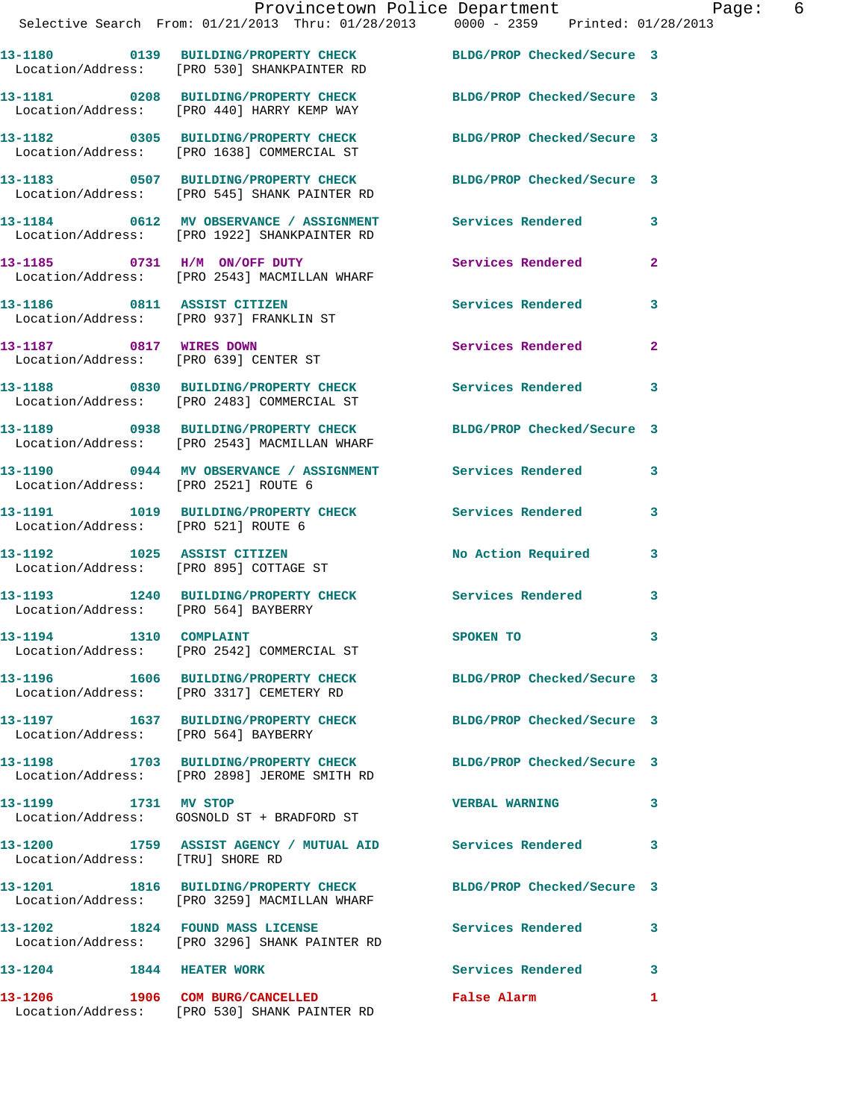|                                      | Provincetown Police Department<br>Selective Search From: 01/21/2013 Thru: 01/28/2013 0000 - 2359 Printed: 01/28/2013 |                            |   |
|--------------------------------------|----------------------------------------------------------------------------------------------------------------------|----------------------------|---|
|                                      | 13-1180 0139 BUILDING/PROPERTY CHECK BLDG/PROP Checked/Secure 3<br>Location/Address: [PRO 530] SHANKPAINTER RD       |                            |   |
|                                      | 13-1181 0208 BUILDING/PROPERTY CHECK BLDG/PROP Checked/Secure 3<br>Location/Address: [PRO 440] HARRY KEMP WAY        |                            |   |
|                                      | 13-1182 0305 BUILDING/PROPERTY CHECK BLDG/PROP Checked/Secure 3<br>Location/Address: [PRO 1638] COMMERCIAL ST        |                            |   |
|                                      | 13-1183 0507 BUILDING/PROPERTY CHECK BLDG/PROP Checked/Secure 3<br>Location/Address: [PRO 545] SHANK PAINTER RD      |                            |   |
|                                      | 13-1184 0612 MV OBSERVANCE / ASSIGNMENT Services Rendered 3<br>Location/Address: [PRO 1922] SHANKPAINTER RD          |                            |   |
|                                      | 13-1185 0731 H/M ON/OFF DUTY Services Rendered 2<br>Location/Address: [PRO 2543] MACMILLAN WHARF                     |                            |   |
|                                      | 13-1186 0811 ASSIST CITIZEN Services Rendered 3<br>Location/Address: [PRO 937] FRANKLIN ST                           |                            |   |
|                                      | 13-1187 0817 WIRES DOWN<br>Location/Address: [PRO 639] CENTER ST                                                     | Services Rendered 2        |   |
|                                      | 13-1188 0830 BUILDING/PROPERTY CHECK Services Rendered 3<br>Location/Address: [PRO 2483] COMMERCIAL ST               |                            |   |
|                                      | 13-1189 0938 BUILDING/PROPERTY CHECK BLDG/PROP Checked/Secure 3<br>Location/Address: [PRO 2543] MACMILLAN WHARF      |                            |   |
|                                      | 13-1190 0944 MV OBSERVANCE / ASSIGNMENT Services Rendered 3<br>Location/Address: [PRO 2521] ROUTE 6                  |                            |   |
| Location/Address: [PRO 521] ROUTE 6  | 13-1191 1019 BUILDING/PROPERTY CHECK Services Rendered 3                                                             |                            |   |
|                                      | 13-1192 1025 ASSIST CITIZEN No Action Required 3<br>Location/Address: [PRO 895] COTTAGE ST                           |                            |   |
| Location/Address: [PRO 564] BAYBERRY | 13-1193 1240 BUILDING/PROPERTY CHECK Services Rendered                                                               |                            | 3 |
| 13-1194   1310   COMPLAINT           | Location/Address: [PRO 2542] COMMERCIAL ST                                                                           | SPOKEN TO                  | 3 |
|                                      | 13-1196   1606   BUILDING/PROPERTY CHECK<br>Location/Address: [PRO 3317] CEMETERY RD                                 | BLDG/PROP Checked/Secure 3 |   |
| Location/Address: [PRO 564] BAYBERRY | 13-1197 1637 BUILDING/PROPERTY CHECK                                                                                 | BLDG/PROP Checked/Secure 3 |   |

**13-1198 1703 BUILDING/PROPERTY CHECK BLDG/PROP Checked/Secure 3**  Location/Address: [PRO 2898] JEROME SMITH RD

**13-1199 1731 MV STOP VERBAL WARNING 3**  Location/Address: GOSNOLD ST + BRADFORD ST

13-1200 1759 ASSIST AGENCY / MUTUAL AID Services Rendered 3 Location/Address: [TRU] SHORE RD

**13-1201 1816 BUILDING/PROPERTY CHECK BLDG/PROP Checked/Secure 3**  Location/Address: [PRO 3259] MACMILLAN WHARF

**13-1202 1824 FOUND MASS LICENSE Services Rendered 3**  Location/Address: [PRO 3296] SHANK PAINTER RD

**13-1204 1844 HEATER WORK Services Rendered 3 13-1206 1906 COM BURG/CANCELLED False Alarm 1**  Location/Address: [PRO 530] SHANK PAINTER RD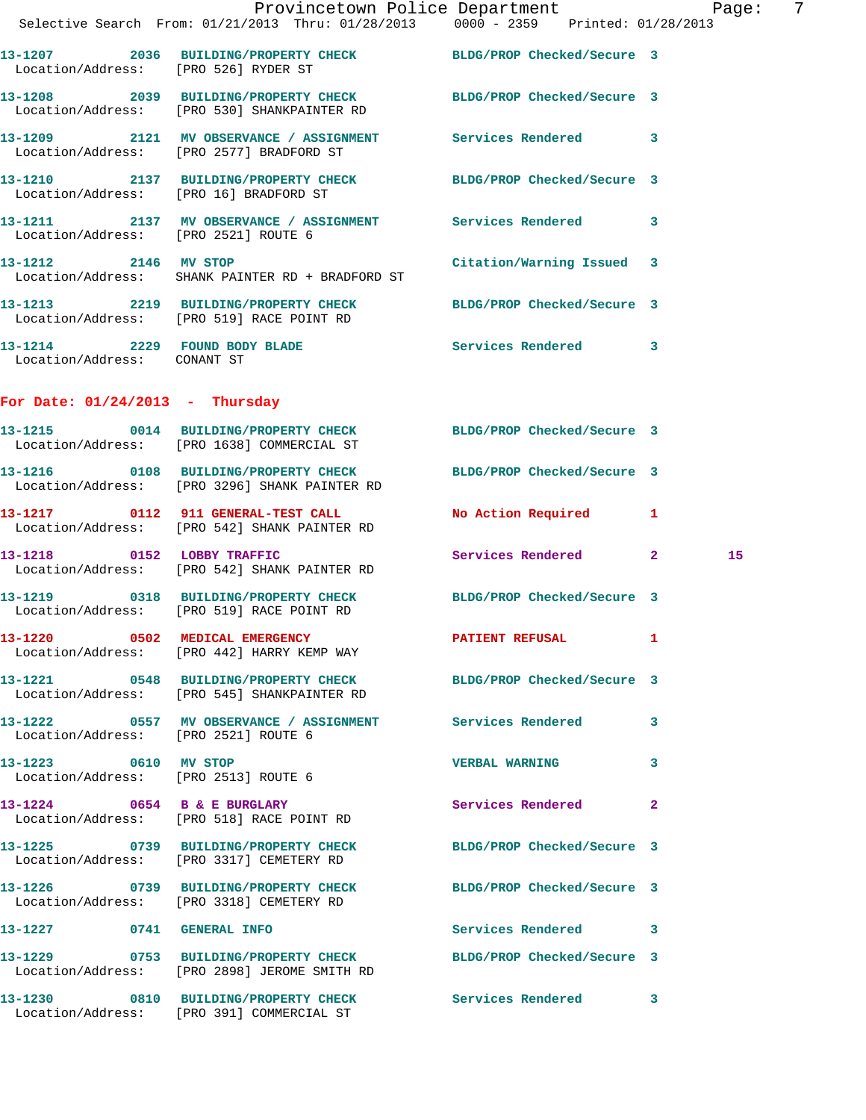|                                   | Provincetown Police Department<br>Selective Search From: 01/21/2013 Thru: 01/28/2013 0000 - 2359 Printed: 01/28/2013 |                           |    | Page: | -7 |
|-----------------------------------|----------------------------------------------------------------------------------------------------------------------|---------------------------|----|-------|----|
|                                   | 13-1207 2036 BUILDING/PROPERTY CHECK BLDG/PROP Checked/Secure 3<br>Location/Address: [PRO 526] RYDER ST              |                           |    |       |    |
|                                   | 13-1208 2039 BUILDING/PROPERTY CHECK BLDG/PROP Checked/Secure 3<br>Location/Address: [PRO 530] SHANKPAINTER RD       |                           |    |       |    |
|                                   | 13-1209 2121 MV OBSERVANCE / ASSIGNMENT Services Rendered 3<br>Location/Address: [PRO 2577] BRADFORD ST              |                           |    |       |    |
|                                   | 13-1210 2137 BUILDING/PROPERTY CHECK BLDG/PROP Checked/Secure 3<br>Location/Address: [PRO 16] BRADFORD ST            |                           |    |       |    |
|                                   | 13-1211 2137 MV OBSERVANCE / ASSIGNMENT Services Rendered 3<br>Location/Address: [PRO 2521] ROUTE 6                  |                           |    |       |    |
| 13-1212 2146 MV STOP              | Location/Address: SHANK PAINTER RD + BRADFORD ST                                                                     | Citation/Warning Issued 3 |    |       |    |
|                                   | 13-1213 2219 BUILDING/PROPERTY CHECK BLDG/PROP Checked/Secure 3<br>Location/Address: [PRO 519] RACE POINT RD         |                           |    |       |    |
| Location/Address: CONANT ST       | 13-1214 2229 FOUND BODY BLADE Services Rendered 3                                                                    |                           |    |       |    |
| For Date: $01/24/2013$ - Thursday |                                                                                                                      |                           |    |       |    |
|                                   | 13-1215 0014 BUILDING/PROPERTY CHECK BLDG/PROP Checked/Secure 3<br>Location/Address: [PRO 1638] COMMERCIAL ST        |                           |    |       |    |
|                                   | 13-1216 0108 BUILDING/PROPERTY CHECK BLDG/PROP Checked/Secure 3<br>Location/Address: [PRO 3296] SHANK PAINTER RD     |                           |    |       |    |
|                                   | 13-1217 0112 911 GENERAL-TEST CALL<br>Location/Address: [PRO 542] SHANK PAINTER RD                                   | No Action Required 1      |    |       |    |
|                                   | 13-1218 0152 LOBBY TRAFFIC<br>Location/Address: [PRO 542] SHANK PAINTER RD                                           | Services Rendered 2       |    | 15    |    |
|                                   | 13-1219 0318 BUILDING/PROPERTY CHECK BLDG/PROP Checked/Secure 3<br>Location/Address: [PRO 519] RACE POINT RD         |                           |    |       |    |
|                                   | 13-1220 0502 MEDICAL EMERGENCY PATIENT REFUSAL<br>Location/Address: [PRO 442] HARRY KEMP WAY                         |                           | -1 |       |    |
|                                   | 13-1221 0548 BUILDING/PROPERTY CHECK BLDG/PROP Checked/Secure 3<br>Location/Address: [PRO 545] SHANKPAINTER RD       |                           |    |       |    |
|                                   | 13-1222 0557 MV OBSERVANCE / ASSIGNMENT Services Rendered<br>Location/Address: [PRO 2521] ROUTE 6                    |                           | 3  |       |    |
| 13-1223 0610 MV STOP              | Location/Address: [PRO 2513] ROUTE 6                                                                                 | VERBAL WARNING 3          |    |       |    |
|                                   | 13-1224 0654 B & E BURGLARY<br>Location/Address: [PRO 518] RACE POINT RD                                             | Services Rendered         | 2  |       |    |
|                                   | 13-1225 0739 BUILDING/PROPERTY CHECK BLDG/PROP Checked/Secure 3<br>Location/Address: [PRO 3317] CEMETERY RD          |                           |    |       |    |
|                                   | 13-1226 0739 BUILDING/PROPERTY CHECK BLDG/PROP Checked/Secure 3<br>Location/Address: [PRO 3318] CEMETERY RD          |                           |    |       |    |
| 13-1227 0741 GENERAL INFO         |                                                                                                                      | Services Rendered 3       |    |       |    |

Location/Address: [PRO 391] COMMERCIAL ST

Location/Address: [PRO 2898] JEROME SMITH RD

**13-1229 0753 BUILDING/PROPERTY CHECK BLDG/PROP Checked/Secure 3** 

**13-1230 0810 BUILDING/PROPERTY CHECK Services Rendered 3**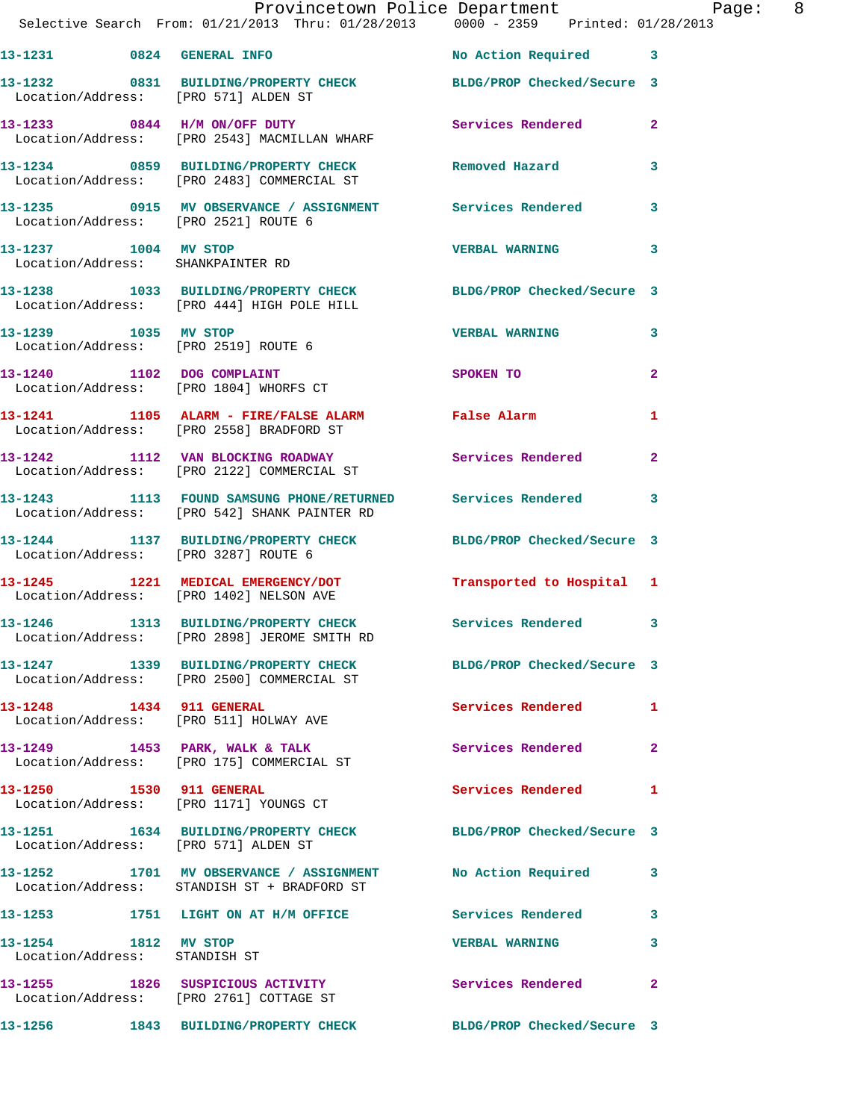|                                                       | Provincetown Police Department Page: 8<br>Selective Search From: 01/21/2013 Thru: 01/28/2013  0000 - 2359  Printed: 01/28/2013 |                           |              |
|-------------------------------------------------------|--------------------------------------------------------------------------------------------------------------------------------|---------------------------|--------------|
|                                                       | 13-1231 0824 GENERAL INFO                                                                                                      | No Action Required 3      |              |
|                                                       | 13-1232 0831 BUILDING/PROPERTY CHECK BLDG/PROP Checked/Secure 3<br>Location/Address: [PRO 571] ALDEN ST                        |                           |              |
|                                                       | 13-1233 0844 H/M ON/OFF DUTY<br>Location/Address: [PRO 2543] MACMILLAN WHARF                                                   | Services Rendered 2       |              |
|                                                       | 13-1234 0859 BUILDING/PROPERTY CHECK Removed Hazard 3<br>Location/Address: [PRO 2483] COMMERCIAL ST                            |                           |              |
|                                                       | 13-1235 0915 MV OBSERVANCE / ASSIGNMENT Services Rendered 3<br>Location/Address: [PRO 2521] ROUTE 6                            |                           |              |
|                                                       | 13-1237 1004 MV STOP<br>Location/Address: SHANKPAINTER RD                                                                      | <b>VERBAL WARNING</b> 3   |              |
|                                                       | 13-1238 1033 BUILDING/PROPERTY CHECK BLDG/PROP Checked/Secure 3<br>Location/Address: [PRO 444] HIGH POLE HILL                  |                           |              |
|                                                       | 13-1239 1035 MV STOP<br>Location/Address: [PRO 2519] ROUTE 6                                                                   | <b>VERBAL WARNING</b>     | $\mathbf{3}$ |
|                                                       | 13-1240 1102 DOG COMPLAINT<br>Location/Address: [PRO 1804] WHORFS CT                                                           | <b>SPOKEN TO</b>          | $\mathbf{2}$ |
|                                                       | 13-1241 1105 ALARM - FIRE/FALSE ALARM False Alarm<br>Location/Address: [PRO 2558] BRADFORD ST                                  |                           | 1            |
|                                                       | 13-1242 1112 VAN BLOCKING ROADWAY Services Rendered 2<br>Location/Address: [PRO 2122] COMMERCIAL ST                            |                           |              |
|                                                       | 13-1243 1113 FOUND SAMSUNG PHONE/RETURNED Services Rendered 3<br>Location/Address: [PRO 542] SHANK PAINTER RD                  |                           |              |
|                                                       | 13-1244 1137 BUILDING/PROPERTY CHECK BLDG/PROP Checked/Secure 3<br>Location/Address: [PRO 3287] ROUTE 6                        |                           |              |
|                                                       | 13-1245 1221 MEDICAL EMERGENCY/DOT<br>Location/Address: [PRO 1402] NELSON AVE                                                  | Transported to Hospital 1 |              |
|                                                       | 13-1246 1313 BUILDING/PROPERTY CHECK Services Rendered 3<br>Location/Address: [PRO 2898] JEROME SMITH RD                       |                           |              |
|                                                       | 13-1247 1339 BUILDING/PROPERTY CHECK BLDG/PROP Checked/Secure 3<br>Location/Address: [PRO 2500] COMMERCIAL ST                  |                           |              |
|                                                       | 13-1248 1434 911 GENERAL<br>Location/Address: [PRO 511] HOLWAY AVE                                                             | Services Rendered 1       |              |
|                                                       | 13-1249 1453 PARK, WALK & TALK<br>Location/Address: [PRO 175] COMMERCIAL ST                                                    | <b>Services Rendered</b>  | $\mathbf{2}$ |
|                                                       | 13-1250 1530 911 GENERAL<br>Location/Address: [PRO 1171] YOUNGS CT                                                             | Services Rendered 1       |              |
|                                                       | 13-1251 1634 BUILDING/PROPERTY CHECK BLDG/PROP Checked/Secure 3<br>Location/Address: [PRO 571] ALDEN ST                        |                           |              |
|                                                       | 13-1252 1701 MV OBSERVANCE / ASSIGNMENT No Action Required 3<br>Location/Address: STANDISH ST + BRADFORD ST                    |                           |              |
|                                                       | 13-1253 1751 LIGHT ON AT H/M OFFICE Services Rendered 3                                                                        |                           |              |
| 13-1254 1812 MV STOP<br>Location/Address: STANDISH ST |                                                                                                                                | <b>VERBAL WARNING</b>     | 3            |
|                                                       | 13-1255 1826 SUSPICIOUS ACTIVITY<br>Location/Address: [PRO 2761] COTTAGE ST                                                    | Services Rendered         | $\mathbf{2}$ |
|                                                       | 13-1256 1843 BUILDING/PROPERTY CHECK BLDG/PROP Checked/Secure 3                                                                |                           |              |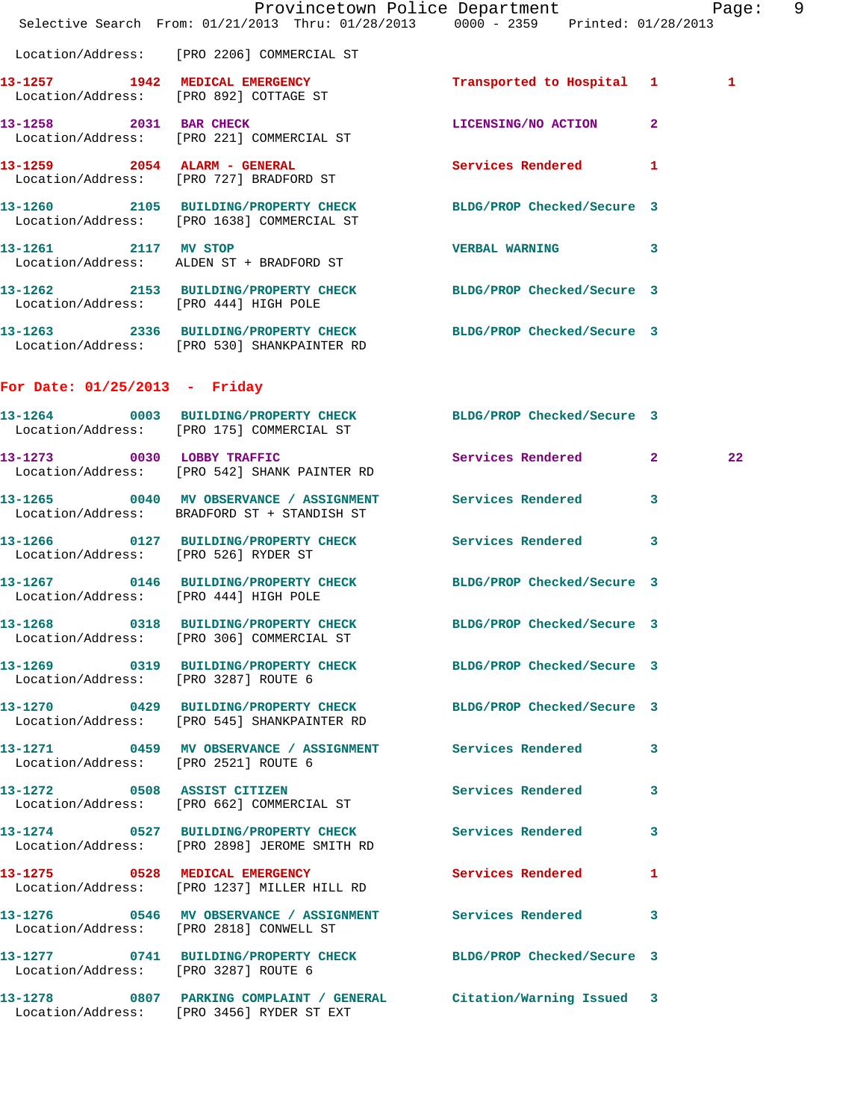|                                       | Selective Search From: 01/21/2013 Thru: 01/28/2013 0000 - 2359 Printed: 01/28/2013                               | Provincetown Police Department Page: 9 |         |  |
|---------------------------------------|------------------------------------------------------------------------------------------------------------------|----------------------------------------|---------|--|
|                                       | Location/Address: [PRO 2206] COMMERCIAL ST                                                                       |                                        |         |  |
|                                       | 13-1257 1942 MEDICAL EMERGENCY<br>Location/Address: [PRO 892] COTTAGE ST                                         | Transported to Hospital 1              | 1       |  |
|                                       | 13-1258 2031 BAR CHECK<br>Location/Address: [PRO 221] COMMERCIAL ST                                              | LICENSING/NO ACTION 2                  |         |  |
|                                       | 13-1259 2054 ALARM - GENERAL<br>Location/Address: [PRO 727] BRADFORD ST                                          | Services Rendered 1                    |         |  |
|                                       | 13-1260 2105 BUILDING/PROPERTY CHECK BLDG/PROP Checked/Secure 3<br>Location/Address: [PRO 1638] COMMERCIAL ST    |                                        |         |  |
| 13-1261 2117 MV STOP                  | Location/Address: ALDEN ST + BRADFORD ST                                                                         | VERBAL WARNING 3                       |         |  |
| Location/Address: [PRO 444] HIGH POLE | 13-1262 2153 BUILDING/PROPERTY CHECK BLDG/PROP Checked/Secure 3                                                  |                                        |         |  |
|                                       | 13-1263 2336 BUILDING/PROPERTY CHECK BLDG/PROP Checked/Secure 3<br>Location/Address: [PRO 530] SHANKPAINTER RD   |                                        |         |  |
| For Date: $01/25/2013$ - Friday       |                                                                                                                  |                                        |         |  |
|                                       | 13-1264 0003 BUILDING/PROPERTY CHECK BLDG/PROP Checked/Secure 3<br>Location/Address: [PRO 175] COMMERCIAL ST     |                                        |         |  |
|                                       | 13-1273 0030 LOBBY TRAFFIC<br>Location/Address: [PRO 542] SHANK PAINTER RD                                       | Services Rendered 2                    | $22 \,$ |  |
|                                       | 13-1265 60040 MV OBSERVANCE / ASSIGNMENT Services Rendered<br>Location/Address: BRADFORD ST + STANDISH ST        |                                        | 3       |  |
| Location/Address: [PRO 526] RYDER ST  | 13-1266  0127 BUILDING/PROPERTY CHECK Services Rendered 3                                                        |                                        |         |  |
| Location/Address: [PRO 444] HIGH POLE | 13-1267 0146 BUILDING/PROPERTY CHECK BLDG/PROP Checked/Secure 3                                                  |                                        |         |  |
|                                       | 13-1268 0318 BUILDING/PROPERTY CHECK BLDG/PROP Checked/Secure 3<br>Location/Address: [PRO 306] COMMERCIAL ST     |                                        |         |  |
| Location/Address: [PRO 3287] ROUTE 6  | 13-1269 0319 BUILDING/PROPERTY CHECK BLDG/PROP Checked/Secure 3                                                  |                                        |         |  |
|                                       | 13-1270  0429  BUILDING/PROPERTY CHECK BLDG/PROP Checked/Secure 3<br>Location/Address: [PRO 545] SHANKPAINTER RD |                                        |         |  |
| Location/Address: [PRO 2521] ROUTE 6  | 13-1271 0459 MV OBSERVANCE / ASSIGNMENT Services Rendered 3                                                      |                                        |         |  |
|                                       | 13-1272 0508 ASSIST CITIZEN<br>Location/Address: [PRO 662] COMMERCIAL ST                                         | Services Rendered 3                    |         |  |
|                                       | 13-1274 0527 BUILDING/PROPERTY CHECK Services Rendered 3<br>Location/Address: [PRO 2898] JEROME SMITH RD         |                                        |         |  |
|                                       | 13-1275 0528 MEDICAL EMERGENCY<br>Location/Address: [PRO 1237] MILLER HILL RD                                    | Services Rendered 1                    |         |  |
|                                       | 13-1276 0546 MV OBSERVANCE / ASSIGNMENT Services Rendered 3<br>Location/Address: [PRO 2818] CONWELL ST           |                                        |         |  |
| Location/Address: [PRO 3287] ROUTE 6  | 13-1277 0741 BUILDING/PROPERTY CHECK BLDG/PROP Checked/Secure 3                                                  |                                        |         |  |
|                                       | 13-1278 0807 PARKING COMPLAINT / GENERAL Citation/Warning Issued 3<br>Location/Address: [PRO 3456] RYDER ST EXT  |                                        |         |  |
|                                       |                                                                                                                  |                                        |         |  |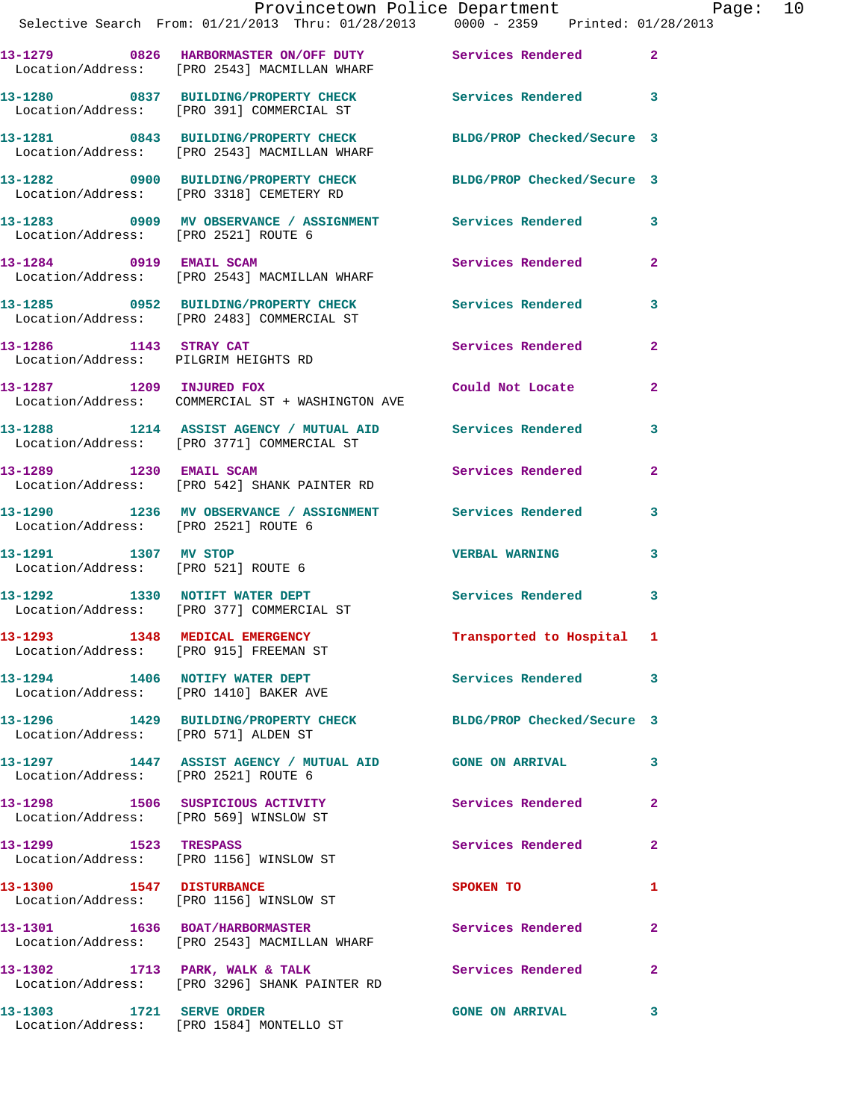|                                | Provincetown Police Department Page: 10<br>Selective Search From: 01/21/2013 Thru: 01/28/2013  0000 - 2359  Printed: 01/28/2013 |                                  |                |
|--------------------------------|---------------------------------------------------------------------------------------------------------------------------------|----------------------------------|----------------|
|                                | 13-1279 0826 HARBORMASTER ON/OFF DUTY Services Rendered 2<br>Location/Address: [PRO 2543] MACMILLAN WHARF                       |                                  |                |
|                                | 13-1280 0837 BUILDING/PROPERTY CHECK Services Rendered 3<br>Location/Address: [PRO 391] COMMERCIAL ST                           |                                  |                |
|                                | 13-1281 0843 BUILDING/PROPERTY CHECK BLDG/PROP Checked/Secure 3<br>Location/Address: [PRO 2543] MACMILLAN WHARF                 |                                  |                |
|                                | 13-1282 0900 BUILDING/PROPERTY CHECK BLDG/PROP Checked/Secure 3<br>Location/Address: [PRO 3318] CEMETERY RD                     |                                  |                |
|                                | 13-1283 6909 MV OBSERVANCE / ASSIGNMENT Services Rendered 3<br>Location/Address: [PRO 2521] ROUTE 6                             |                                  |                |
|                                | 13-1284 0919 EMAIL SCAM<br>Location/Address: [PRO 2543] MACMILLAN WHARF                                                         | Services Rendered                | $\overline{2}$ |
|                                | 13-1285 0952 BUILDING/PROPERTY CHECK Services Rendered 3<br>Location/Address: [PRO 2483] COMMERCIAL ST                          |                                  |                |
|                                | 13-1286 1143 STRAY CAT<br>Location/Address: PILGRIM HEIGHTS RD                                                                  | Services Rendered                | $\mathbf{2}$   |
|                                | 13-1287 1209 INJURED FOX<br>Location/Address: COMMERCIAL ST + WASHINGTON AVE                                                    | Could Not Locate                 | $\overline{2}$ |
|                                | 13-1288 1214 ASSIST AGENCY / MUTUAL AID Services Rendered<br>Location/Address: [PRO 3771] COMMERCIAL ST                         |                                  | 3              |
| 13-1289 1230 EMAIL SCAM        | Location/Address: [PRO 542] SHANK PAINTER RD                                                                                    | Services Rendered                | $\overline{2}$ |
|                                | 13-1290 1236 MV OBSERVANCE / ASSIGNMENT Services Rendered<br>Location/Address: [PRO 2521] ROUTE 6                               |                                  | 3              |
| 13-1291 1307 MV STOP           | Location/Address: [PRO 521] ROUTE 6                                                                                             | <b>VERBAL WARNING</b>            | 3              |
|                                |                                                                                                                                 | Services Rendered 3              |                |
|                                | 13-1293 1348 MEDICAL EMERGENCY<br>Location/Address: [PRO 915] FREEMAN ST                                                        | Transported to Hospital 1        |                |
|                                | 13-1294 1406 NOTIFY WATER DEPT<br>Location/Address: [PRO 1410] BAKER AVE                                                        | Services Rendered                | 3              |
|                                | 13-1296 1429 BUILDING/PROPERTY CHECK BLDG/PROP Checked/Secure 3<br>Location/Address: [PRO 571] ALDEN ST                         |                                  |                |
|                                | 13-1297 1447 ASSIST AGENCY / MUTUAL AID GONE ON ARRIVAL<br>Location/Address: [PRO 2521] ROUTE 6                                 |                                  | 3              |
|                                | 13-1298 1506 SUSPICIOUS ACTIVITY<br>Location/Address: [PRO 569] WINSLOW ST                                                      | Services Rendered                | $\overline{2}$ |
|                                | 13-1299 1523 TRESPASS<br>Location/Address: [PRO 1156] WINSLOW ST                                                                | Services Rendered                | $\mathbf{2}$   |
| 13-1300 1547 DISTURBANCE       | Location/Address: [PRO 1156] WINSLOW ST                                                                                         | SPOKEN TO AND TO A THE SPOKEN TO | $\mathbf{1}$   |
|                                | 13-1301 1636 BOAT/HARBORMASTER<br>Location/Address: [PRO 2543] MACMILLAN WHARF                                                  | Services Rendered                | $\mathbf{2}$   |
|                                | 13-1302 1713 PARK, WALK & TALK<br>Location/Address: [PRO 3296] SHANK PAINTER RD                                                 | Services Rendered                | $\mathbf{2}$   |
| 13-1303    1721    SERVE ORDER |                                                                                                                                 | <b>GONE ON ARRIVAL</b>           | 3              |

Location/Address: [PRO 1584] MONTELLO ST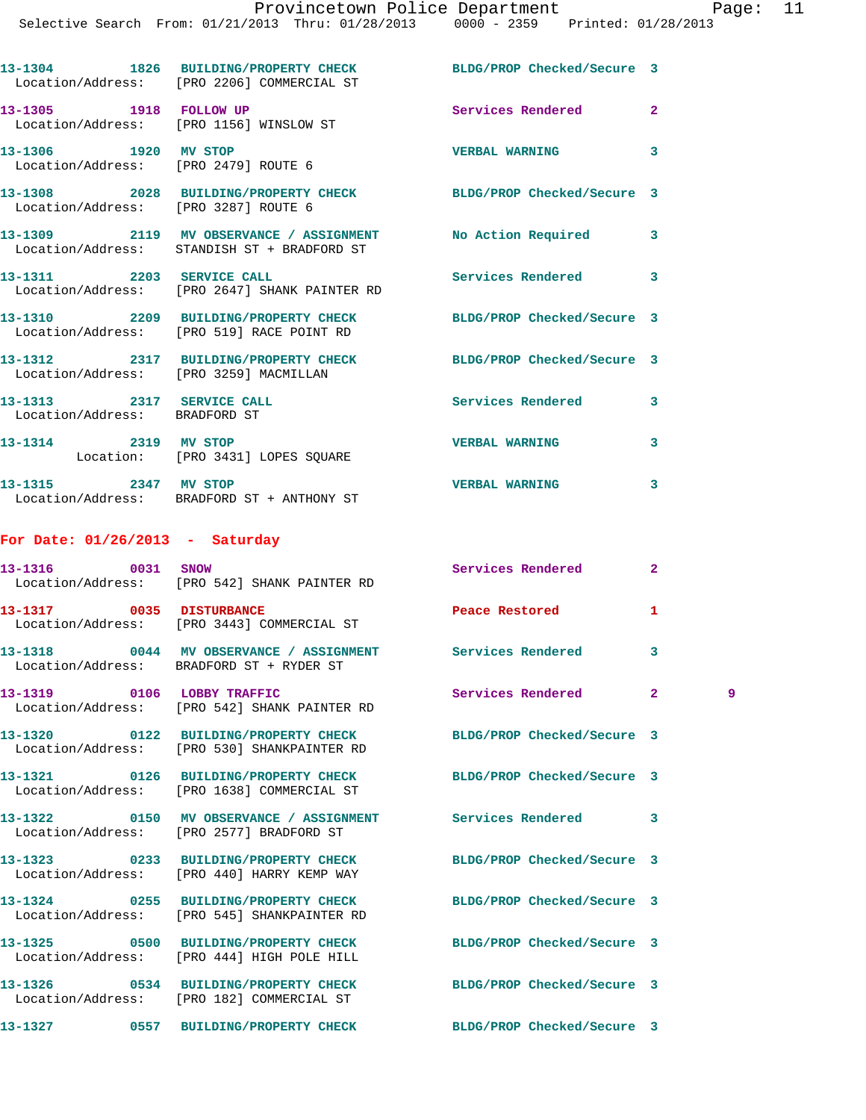|                                                              | 13-1304 1826 BUILDING/PROPERTY CHECK BLDG/PROP Checked/Secure 3<br>Location/Address: [PRO 2206] COMMERCIAL ST |                            |                         |
|--------------------------------------------------------------|---------------------------------------------------------------------------------------------------------------|----------------------------|-------------------------|
| 13-1305    1918    FOLLOW UP                                 | Location/Address: [PRO 1156] WINSLOW ST                                                                       | Services Rendered          | $\mathbf{2}$            |
| 13-1306 1920 MV STOP<br>Location/Address: [PRO 2479] ROUTE 6 |                                                                                                               | <b>VERBAL WARNING</b>      | 3                       |
| Location/Address: [PRO 3287] ROUTE 6                         | 13-1308 2028 BUILDING/PROPERTY CHECK BLDG/PROP Checked/Secure 3                                               |                            |                         |
|                                                              | 13-1309 2119 MV OBSERVANCE / ASSIGNMENT No Action Required<br>Location/Address: STANDISH ST + BRADFORD ST     |                            | $\mathbf{3}$            |
| 13-1311 2203 SERVICE CALL                                    | Location/Address: [PRO 2647] SHANK PAINTER RD                                                                 | <b>Services Rendered</b>   | $\overline{\mathbf{3}}$ |
|                                                              | 13-1310 2209 BUILDING/PROPERTY CHECK<br>Location/Address: [PRO 519] RACE POINT RD                             | BLDG/PROP Checked/Secure 3 |                         |
| Location/Address: [PRO 3259] MACMILLAN                       | 13-1312 2317 BUILDING/PROPERTY CHECK BLDG/PROP Checked/Secure 3                                               |                            |                         |
| 13-1313 2317 SERVICE CALL                                    |                                                                                                               | <b>Services Rendered</b>   | 3                       |

 Location/Address: BRADFORD ST **13-1314 2319 MV STOP VERBAL WARNING 3**  Location: [PRO 3431] LOPES SQUARE **13-1315 2347 MV STOP VERBAL WARNING 3** 

Location/Address: BRADFORD ST + ANTHONY ST

## **For Date: 01/26/2013 - Saturday**

| Location/Address: [PRO 542] SHANK PAINTER RD                                                                  | Services Rendered          | $\overline{2}$ |   |
|---------------------------------------------------------------------------------------------------------------|----------------------------|----------------|---|
| 13-1317 0035 DISTURBANCE<br>Location/Address: [PRO 3443] COMMERCIAL ST                                        | Peace Restored             | 1              |   |
| 13-1318 6044 MV OBSERVANCE / ASSIGNMENT Services Rendered<br>Location/Address: BRADFORD ST + RYDER ST         |                            | $\overline{3}$ |   |
| 13-1319 0106 LOBBY TRAFFIC<br>Location/Address: [PRO 542] SHANK PAINTER RD                                    | Services Rendered          | $\overline{2}$ | 9 |
| Location/Address: [PRO 530] SHANKPAINTER RD                                                                   | BLDG/PROP Checked/Secure 3 |                |   |
| 13-1321 0126 BUILDING/PROPERTY CHECK BLDG/PROP Checked/Secure 3<br>Location/Address: [PRO 1638] COMMERCIAL ST |                            |                |   |
| 13-1322 0150 MV OBSERVANCE / ASSIGNMENT Services Rendered<br>Location/Address: [PRO 2577] BRADFORD ST         |                            | $\mathbf{3}$   |   |
| 13-1323 0233 BUILDING/PROPERTY CHECK BLDG/PROP Checked/Secure 3<br>Location/Address: [PRO 440] HARRY KEMP WAY |                            |                |   |
| 13-1324 0255 BUILDING/PROPERTY CHECK<br>Location/Address: [PRO 545] SHANKPAINTER RD                           | BLDG/PROP Checked/Secure 3 |                |   |
| 13-1325 0500 BUILDING/PROPERTY CHECK<br>Location/Address: [PRO 444] HIGH POLE HILL                            | BLDG/PROP Checked/Secure 3 |                |   |
| 13-1326 0534 BUILDING/PROPERTY CHECK BLDG/PROP Checked/Secure 3<br>Location/Address: [PRO 182] COMMERCIAL ST  |                            |                |   |
| 13-1327 0557 BUILDING/PROPERTY CHECK BLDG/PROP Checked/Secure 3                                               |                            |                |   |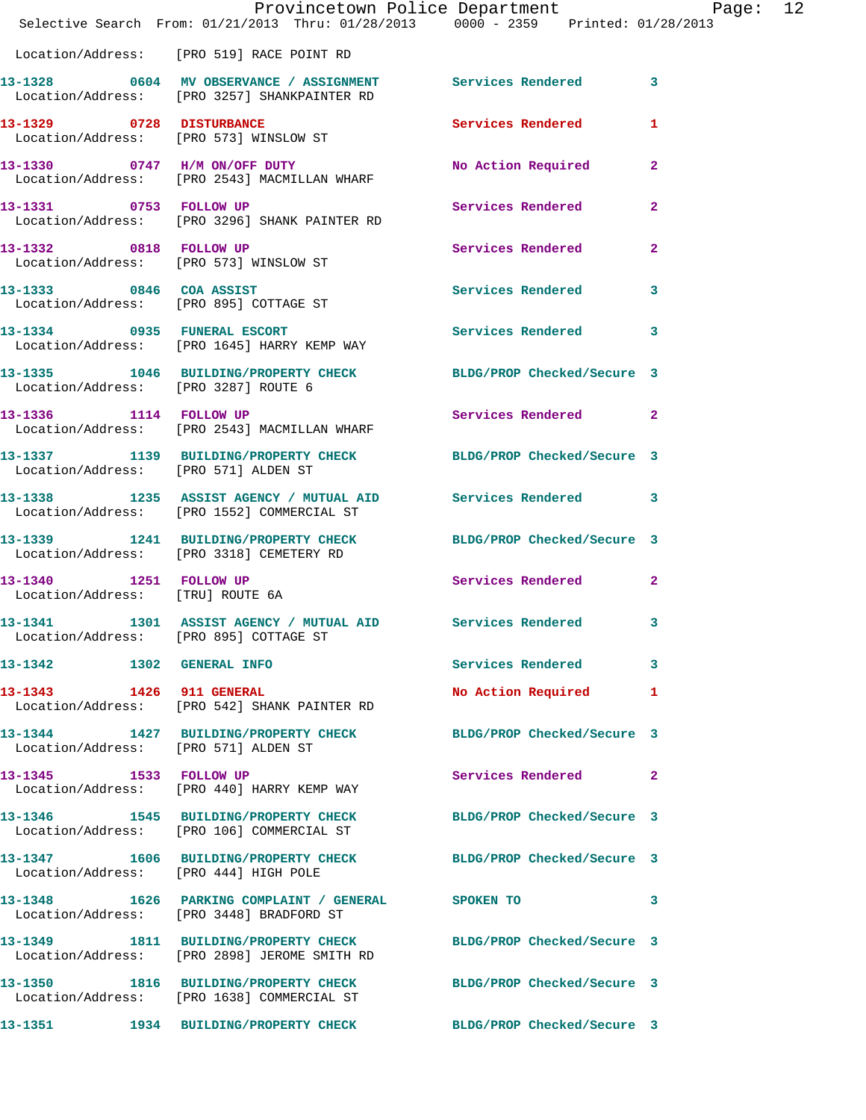|                                  | Provincetown Police Department Page: 12<br>Selective Search From: 01/21/2013 Thru: 01/28/2013 0000 - 2359 Printed: 01/28/2013 |                      |                |
|----------------------------------|-------------------------------------------------------------------------------------------------------------------------------|----------------------|----------------|
|                                  | Location/Address: [PRO 519] RACE POINT RD                                                                                     |                      |                |
|                                  | 13-1328 0604 MV OBSERVANCE / ASSIGNMENT Services Rendered 3<br>Location/Address: [PRO 3257] SHANKPAINTER RD                   |                      |                |
|                                  | 13-1329 0728 DISTURBANCE<br>Location/Address: [PRO 573] WINSLOW ST                                                            | Services Rendered    | 1              |
|                                  | 13-1330 0747 H/M ON/OFF DUTY<br>Location/Address: [PRO 2543] MACMILLAN WHARF                                                  | No Action Required   | $\overline{2}$ |
|                                  | 13-1331 0753 FOLLOW UP<br>Location/Address: [PRO 3296] SHANK PAINTER RD                                                       | Services Rendered    | $\mathbf{2}$   |
| 13-1332 0818 FOLLOW UP           | Location/Address: [PRO 573] WINSLOW ST                                                                                        | Services Rendered    | $\mathbf{2}$   |
|                                  |                                                                                                                               | Services Rendered    | $\mathbf{3}$   |
|                                  | 13-1334 0935 FUNERAL ESCORT<br>Location/Address: [PRO 1645] HARRY KEMP WAY                                                    | Services Rendered    | 3              |
|                                  | 13-1335 1046 BUILDING/PROPERTY CHECK BLDG/PROP Checked/Secure 3<br>Location/Address: [PRO 3287] ROUTE 6                       |                      |                |
|                                  | 13-1336 1114 FOLLOW UP<br>Location/Address: [PRO 2543] MACMILLAN WHARF                                                        | Services Rendered    | $\mathbf{2}$   |
|                                  | 13-1337 1139 BUILDING/PROPERTY CHECK BLDG/PROP Checked/Secure 3<br>Location/Address: [PRO 571] ALDEN ST                       |                      |                |
|                                  | 13-1338 1235 ASSIST AGENCY / MUTUAL AID Services Rendered 3<br>Location/Address: [PRO 1552] COMMERCIAL ST                     |                      |                |
|                                  | 13-1339 1241 BUILDING/PROPERTY CHECK BLDG/PROP Checked/Secure 3<br>Location/Address: [PRO 3318] CEMETERY RD                   |                      |                |
| Location/Address: [TRU] ROUTE 6A | 13-1340 1251 FOLLOW UP                                                                                                        | Services Rendered    | $\mathbf{2}$   |
|                                  | 13-1341 1301 ASSIST AGENCY / MUTUAL AID Services Rendered 3<br>Location/Address: [PRO 895] COTTAGE ST                         |                      |                |
|                                  | 13-1342 1302 GENERAL INFO                                                                                                     | Services Rendered    | 3              |
|                                  | 13-1343 1426 911 GENERAL<br>Location/Address: [PRO 542] SHANK PAINTER RD                                                      | No Action Required 1 |                |
|                                  | 13-1344 1427 BUILDING/PROPERTY CHECK BLDG/PROP Checked/Secure 3<br>Location/Address: [PRO 571] ALDEN ST                       |                      |                |
|                                  | 13-1345 1533 FOLLOW UP<br>Location/Address: [PRO 440] HARRY KEMP WAY                                                          | Services Rendered    | $\mathbf{2}$   |
|                                  | 13-1346 1545 BUILDING/PROPERTY CHECK BLDG/PROP Checked/Secure 3<br>Location/Address: [PRO 106] COMMERCIAL ST                  |                      |                |
|                                  | 13-1347 1606 BUILDING/PROPERTY CHECK BLDG/PROP Checked/Secure 3<br>Location/Address: [PRO 444] HIGH POLE                      |                      |                |
|                                  | 13-1348 1626 PARKING COMPLAINT / GENERAL SPOKEN TO<br>Location/Address: [PRO 3448] BRADFORD ST                                |                      | 3              |
|                                  | 13-1349 1811 BUILDING/PROPERTY CHECK BLDG/PROP Checked/Secure 3<br>Location/Address: [PRO 2898] JEROME SMITH RD               |                      |                |
|                                  | 13-1350 1816 BUILDING/PROPERTY CHECK BLDG/PROP Checked/Secure 3<br>Location/Address: [PRO 1638] COMMERCIAL ST                 |                      |                |
|                                  | 13-1351       1934   BUILDING/PROPERTY CHECK        BLDG/PROP Checked/Secure 3                                                |                      |                |
|                                  |                                                                                                                               |                      |                |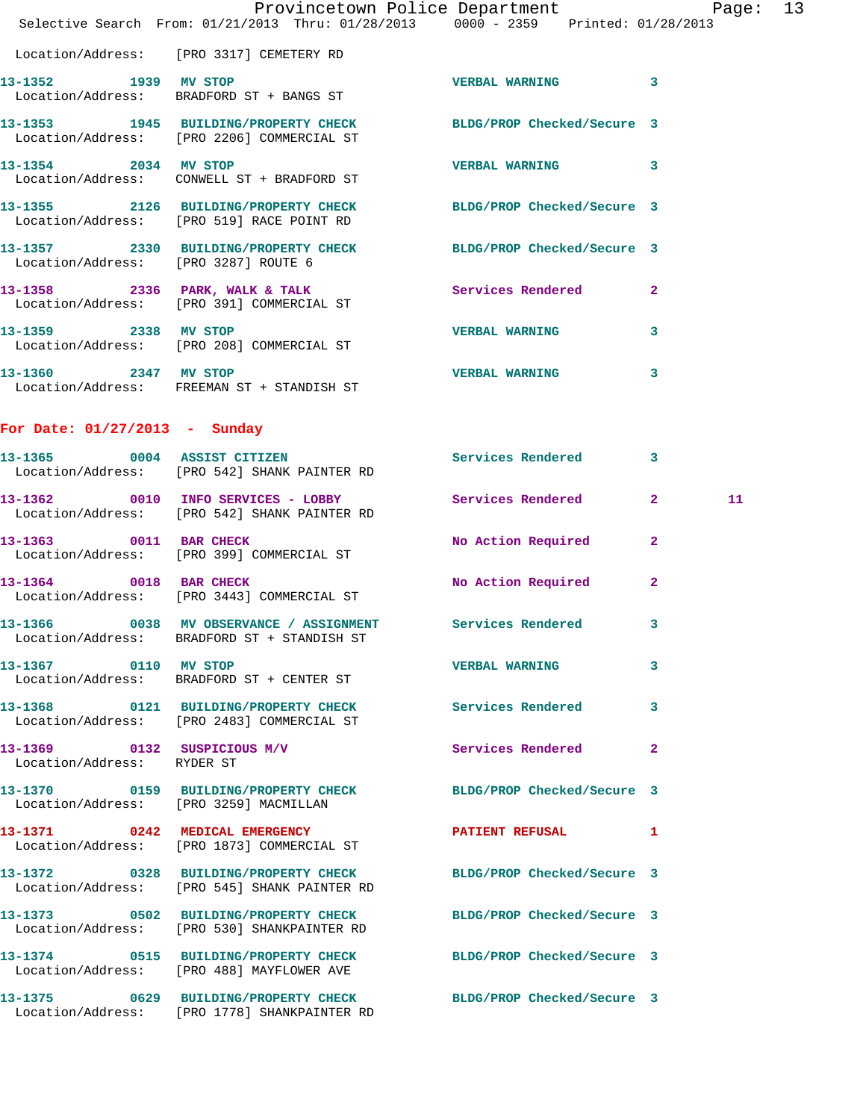|                                                        |                        | Provincetown Police Department |                                     | Page: | 13 |
|--------------------------------------------------------|------------------------|--------------------------------|-------------------------------------|-------|----|
| Selective Search From: $01/21/2013$ Thru: $01/28/2013$ |                        |                                | $0000 - 2359$ Printed: $01/28/2013$ |       |    |
|                                                        |                        |                                |                                     |       |    |
| Location/Address:                                      | [PRO 3317] CEMETERY RD |                                |                                     |       |    |

**13-1352 1939 MV STOP VERBAL WARNING 3**  Location/Address: BRADFORD ST + BANGS ST **13-1353 1945 BUILDING/PROPERTY CHECK BLDG/PROP Checked/Secure 3**  Location/Address: [PRO 2206] COMMERCIAL ST **13-1354 2034 MV STOP VERBAL WARNING 3**  Location/Address: CONWELL ST + BRADFORD ST

**13-1355 2126 BUILDING/PROPERTY CHECK BLDG/PROP Checked/Secure 3**  Location/Address: [PRO 519] RACE POINT RD **13-1357 2330 BUILDING/PROPERTY CHECK BLDG/PROP Checked/Secure 3**  Location/Address: [PRO 3287] ROUTE 6 **13-1358 2336 PARK, WALK & TALK Services Rendered 2**  Location/Address: [PRO 391] COMMERCIAL ST

**13-1359 2338 MV STOP VERBAL WARNING 3**  Location/Address: [PRO 208] COMMERCIAL ST **13-1360 2347 MV STOP VERBAL WARNING 3** 

Location/Address: FREEMAN ST + STANDISH ST

**For Date: 01/27/2013 - Sunday**

|                            | 13-1365 0004 ASSIST CITIZEN<br>Location/Address: [PRO 542] SHANK PAINTER RD                                     | Services Rendered 3   |                |    |
|----------------------------|-----------------------------------------------------------------------------------------------------------------|-----------------------|----------------|----|
|                            | 13-1362 0010 INFO SERVICES - LOBBY Services Rendered 2<br>Location/Address: [PRO 542] SHANK PAINTER RD          |                       |                | 11 |
|                            | 13-1363 0011 BAR CHECK<br>Location/Address: [PRO 399] COMMERCIAL ST                                             | No Action Required    | $\overline{2}$ |    |
| 13-1364 0018 BAR CHECK     | Location/Address: [PRO 3443] COMMERCIAL ST                                                                      | No Action Required    | $\overline{2}$ |    |
|                            | 13-1366 6 0038 MV OBSERVANCE / ASSIGNMENT Services Rendered<br>Location/Address: BRADFORD ST + STANDISH ST      |                       | 3              |    |
| 13-1367 0110 MV STOP       | Location/Address: BRADFORD ST + CENTER ST                                                                       | <b>VERBAL WARNING</b> | 3              |    |
|                            | 13-1368 0121 BUILDING/PROPERTY CHECK<br>Location/Address: [PRO 2483] COMMERCIAL ST                              | Services Rendered     | 3              |    |
| Location/Address: RYDER ST | 13-1369 0132 SUSPICIOUS M/V                                                                                     | Services Rendered     | $\overline{2}$ |    |
|                            | 13-1370 0159 BUILDING/PROPERTY CHECK BLDG/PROP Checked/Secure 3<br>Location/Address: [PRO 3259] MACMILLAN       |                       |                |    |
|                            | 13-1371 0242 MEDICAL EMERGENCY <b>PATIENT REFUSAL</b> 1<br>Location/Address: [PRO 1873] COMMERCIAL ST           |                       |                |    |
|                            | 13-1372 0328 BUILDING/PROPERTY CHECK BLDG/PROP Checked/Secure 3<br>Location/Address: [PRO 545] SHANK PAINTER RD |                       |                |    |
|                            | 13-1373 0502 BUILDING/PROPERTY CHECK BLDG/PROP Checked/Secure 3<br>Location/Address: [PRO 530] SHANKPAINTER RD  |                       |                |    |
|                            | 13-1374 0515 BUILDING/PROPERTY CHECK BLDG/PROP Checked/Secure 3<br>Location/Address: [PRO 488] MAYFLOWER AVE    |                       |                |    |
|                            | 13-1375 0629 BUILDING/PROPERTY CHECK BLDG/PROP Checked/Secure 3<br>Location/Address: [PRO 1778] SHANKPAINTER RD |                       |                |    |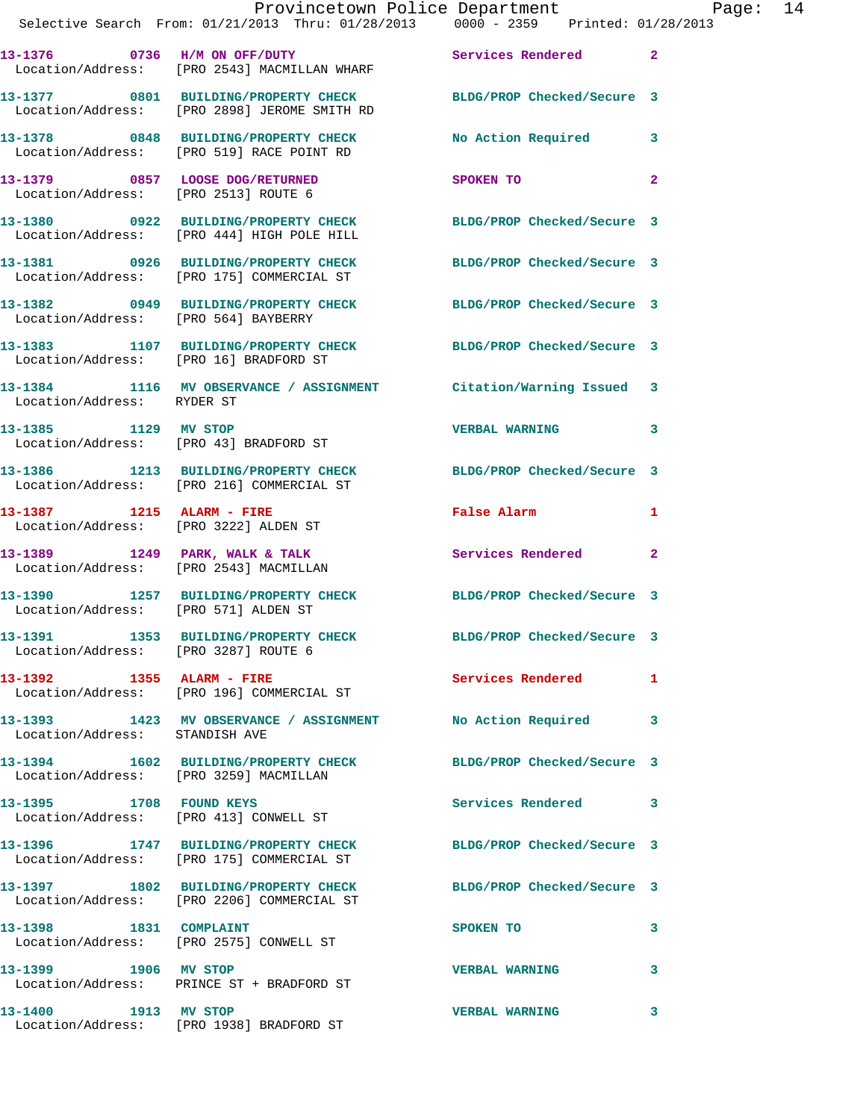|                                | Provincetown Police Department Page: 14<br>Selective Search From: 01/21/2013 Thru: 01/28/2013 0000 - 2359 Printed: 01/28/2013 |                                                                                                                |                |
|--------------------------------|-------------------------------------------------------------------------------------------------------------------------------|----------------------------------------------------------------------------------------------------------------|----------------|
|                                | 13-1376 		 0736 		 H/M ON OFF/DUTY 		 Services Rendered 2<br>Location/Address: [PRO 2543] MACMILLAN WHARF                     |                                                                                                                |                |
|                                | 13-1377 0801 BUILDING/PROPERTY CHECK BLDG/PROP Checked/Secure 3<br>Location/Address: [PRO 2898] JEROME SMITH RD               |                                                                                                                |                |
|                                | 13-1378 0848 BUILDING/PROPERTY CHECK No Action Required 3<br>Location/Address: [PRO 519] RACE POINT RD                        |                                                                                                                |                |
|                                | 13-1379 0857 LOOSE DOG/RETURNED<br>Location/Address: [PRO 2513] ROUTE 6                                                       | SPOKEN TO                                                                                                      | $\overline{a}$ |
|                                | 13-1380 0922 BUILDING/PROPERTY CHECK BLDG/PROP Checked/Secure 3<br>Location/Address: [PRO 444] HIGH POLE HILL                 |                                                                                                                |                |
|                                | 13-1381 0926 BUILDING/PROPERTY CHECK BLDG/PROP Checked/Secure 3<br>Location/Address: [PRO 175] COMMERCIAL ST                  |                                                                                                                |                |
|                                | 13-1382 0949 BUILDING/PROPERTY CHECK BLDG/PROP Checked/Secure 3<br>Location/Address: [PRO 564] BAYBERRY                       |                                                                                                                |                |
|                                | 13-1383 1107 BUILDING/PROPERTY CHECK BLDG/PROP Checked/Secure 3<br>Location/Address: [PRO 16] BRADFORD ST                     |                                                                                                                |                |
| Location/Address: RYDER ST     | 13-1384 1116 MV OBSERVANCE / ASSIGNMENT Citation/Warning Issued 3                                                             |                                                                                                                |                |
|                                | 13-1385 1129 MV STOP<br>Location/Address: [PRO 43] BRADFORD ST                                                                | <b>VERBAL WARNING</b>                                                                                          | 3              |
|                                | 13-1386 1213 BUILDING/PROPERTY CHECK BLDG/PROP Checked/Secure 3<br>Location/Address: [PRO 216] COMMERCIAL ST                  |                                                                                                                |                |
|                                | 13-1387 1215 ALARM - FIRE<br>Location/Address: [PRO 3222] ALDEN ST                                                            | False Alarm and the state of the state of the state of the state of the state of the state of the state of the | $\mathbf{1}$   |
|                                | 13-1389 1249 PARK, WALK & TALK 1988 Services Rendered 2<br>Location/Address: [PRO 2543] MACMILLAN                             |                                                                                                                |                |
|                                | 13-1390 1257 BUILDING/PROPERTY CHECK BLDG/PROP Checked/Secure 3<br>Location/Address: [PRO 571] ALDEN ST                       |                                                                                                                |                |
|                                | 13-1391 1353 BUILDING/PROPERTY CHECK<br>Location/Address: [PRO 3287] ROUTE 6                                                  | BLDG/PROP Checked/Secure 3                                                                                     |                |
|                                | 13-1392 1355 ALARM - FIRE<br>Location/Address: [PRO 196] COMMERCIAL ST                                                        | Services Rendered                                                                                              | $\mathbf{1}$   |
| Location/Address: STANDISH AVE | 13-1393 1423 MV OBSERVANCE / ASSIGNMENT No Action Required                                                                    |                                                                                                                | 3              |
|                                | 13-1394 1602 BUILDING/PROPERTY CHECK BLDG/PROP Checked/Secure 3<br>Location/Address: [PRO 3259] MACMILLAN                     |                                                                                                                |                |
|                                | 13-1395 1708 FOUND KEYS<br>Location/Address: [PRO 413] CONWELL ST                                                             | Services Rendered 3                                                                                            |                |
|                                | 13-1396 1747 BUILDING/PROPERTY CHECK<br>Location/Address: [PRO 175] COMMERCIAL ST                                             | BLDG/PROP Checked/Secure 3                                                                                     |                |
|                                | 13-1397 1802 BUILDING/PROPERTY CHECK BLDG/PROP Checked/Secure 3<br>Location/Address: [PRO 2206] COMMERCIAL ST                 |                                                                                                                |                |
|                                | 13-1398 1831 COMPLAINT<br>Location/Address: [PRO 2575] CONWELL ST                                                             | SPOKEN TO                                                                                                      | 3              |
| 13-1399 1906 MV STOP           | Location/Address: PRINCE ST + BRADFORD ST                                                                                     | <b>VERBAL WARNING</b>                                                                                          | 3              |
| 13-1400 1913 MV STOP           |                                                                                                                               | <b>VERBAL WARNING</b>                                                                                          | 3              |

Location/Address: [PRO 1938] BRADFORD ST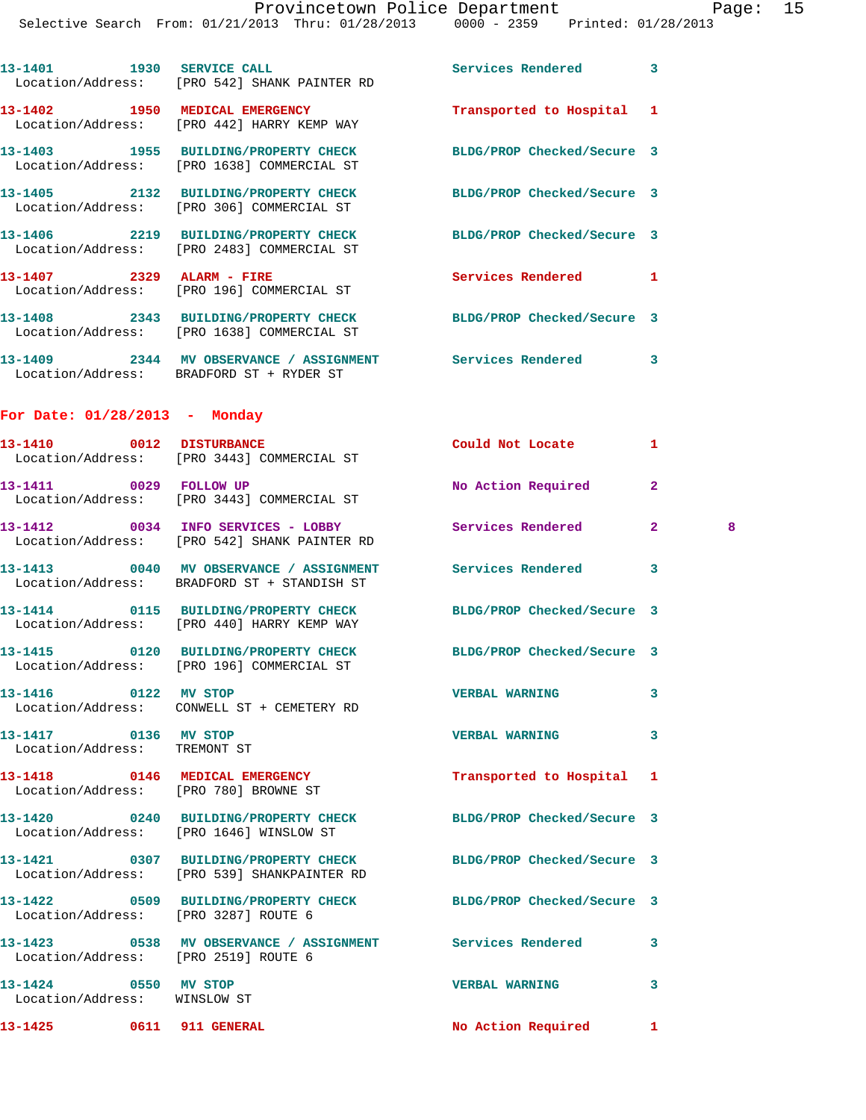|                                                      | 13-1401 1930 SERVICE CALL<br>Location/Address: [PRO 542] SHANK PAINTER RD                                      | Services Rendered                               | 3                   |
|------------------------------------------------------|----------------------------------------------------------------------------------------------------------------|-------------------------------------------------|---------------------|
|                                                      | 13-1402 1950 MEDICAL EMERGENCY<br>Location/Address: [PRO 442] HARRY KEMP WAY                                   | Transported to Hospital 1                       |                     |
|                                                      | 13-1403 1955 BUILDING/PROPERTY CHECK BLDG/PROP Checked/Secure 3<br>Location/Address: [PRO 1638] COMMERCIAL ST  |                                                 |                     |
|                                                      | 13-1405 2132 BUILDING/PROPERTY CHECK<br>Location/Address: [PRO 306] COMMERCIAL ST                              | BLDG/PROP Checked/Secure 3                      |                     |
|                                                      | 13-1406 2219 BUILDING/PROPERTY CHECK<br>Location/Address: [PRO 2483] COMMERCIAL ST                             | BLDG/PROP Checked/Secure 3                      |                     |
|                                                      | 13-1407  2329 ALARM - FIRE<br>Location/Address: [PRO 196] COMMERCIAL ST                                        | Services Rendered                               | 1                   |
|                                                      | 13-1408 2343 BUILDING/PROPERTY CHECK BLDG/PROP Checked/Secure 3<br>Location/Address: [PRO 1638] COMMERCIAL ST  |                                                 |                     |
|                                                      | 13-1409 2344 MV OBSERVANCE / ASSIGNMENT Services Rendered<br>Location/Address: BRADFORD ST + RYDER ST          |                                                 | 3                   |
| For Date: $01/28/2013$ - Monday                      |                                                                                                                |                                                 |                     |
|                                                      | 13-1410 0012 DISTURBANCE<br>Location/Address: [PRO 3443] COMMERCIAL ST                                         | Could Not Locate Note that the Could Not Locate | 1                   |
| 13-1411 0029 FOLLOW UP                               | Location/Address: [PRO 3443] COMMERCIAL ST                                                                     | No Action Required                              | $\mathbf{2}$        |
|                                                      | 13-1412 0034 INFO SERVICES - LOBBY<br>Location/Address: [PRO 542] SHANK PAINTER RD                             | Services Rendered                               | $\mathbf{2}^-$<br>8 |
|                                                      | 13-1413  0040 MV OBSERVANCE / ASSIGNMENT Services Rendered<br>Location/Address: BRADFORD ST + STANDISH ST      |                                                 | 3                   |
|                                                      | 13-1414 0115 BUILDING/PROPERTY CHECK BLDG/PROP Checked/Secure 3<br>Location/Address: [PRO 440] HARRY KEMP WAY  |                                                 |                     |
|                                                      | 13-1415 0120 BUILDING/PROPERTY CHECK<br>Location/Address: [PRO 196] COMMERCIAL ST                              | BLDG/PROP Checked/Secure 3                      |                     |
| 13-1416 0122 MV STOP                                 |                                                                                                                | <b>VERBAL WARNING</b>                           | 3                   |
| 13-1417 0136 MV STOP<br>Location/Address: TREMONT ST |                                                                                                                | <b>VERBAL WARNING</b>                           | 3                   |
|                                                      | 13-1418 0146 MEDICAL EMERGENCY<br>Location/Address: [PRO 780] BROWNE ST                                        | Transported to Hospital 1                       |                     |
|                                                      | 13-1420 0240 BUILDING/PROPERTY CHECK BLDG/PROP Checked/Secure 3<br>Location/Address: [PRO 1646] WINSLOW ST     |                                                 |                     |
|                                                      | 13-1421 0307 BUILDING/PROPERTY CHECK BLDG/PROP Checked/Secure 3<br>Location/Address: [PRO 539] SHANKPAINTER RD |                                                 |                     |
| Location/Address: [PRO 3287] ROUTE 6                 | 13-1422 0509 BUILDING/PROPERTY CHECK BLDG/PROP Checked/Secure 3                                                |                                                 |                     |
| Location/Address: [PRO 2519] ROUTE 6                 | 13-1423 6538 MV OBSERVANCE / ASSIGNMENT Services Rendered                                                      |                                                 | 3                   |
| 13-1424 0550 MV STOP<br>Location/Address: WINSLOW ST |                                                                                                                | <b>VERBAL WARNING</b>                           | 3                   |
|                                                      | 13-1425 0611 911 GENERAL                                                                                       | No Action Required                              | $\mathbf{1}$        |